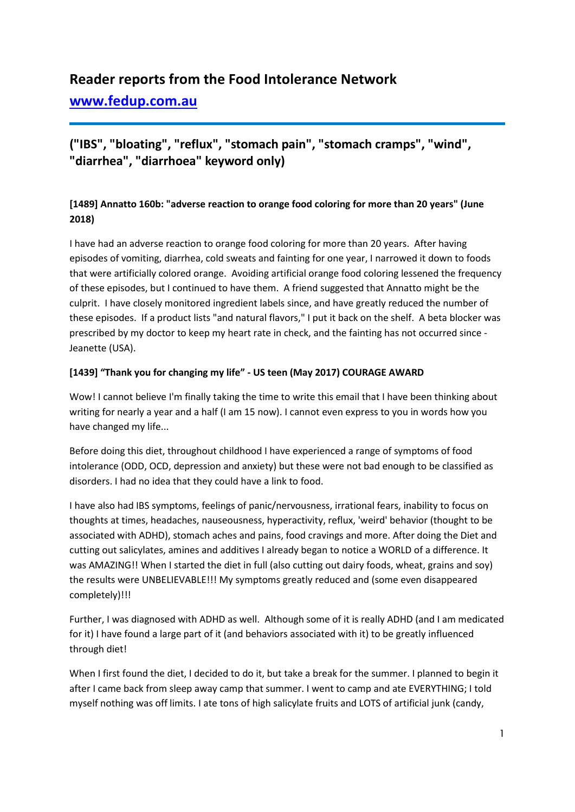# **Reader reports from the Food Intolerance Network**

**[www.fedup.com.au](http://www.fedup.com.au/)**

# **("IBS", "bloating", "reflux", "stomach pain", "stomach cramps", "wind", "diarrhea", "diarrhoea" keyword only)**

# **[1489] Annatto 160b: "adverse reaction to orange food coloring for more than 20 years" (June 2018)**

I have had an adverse reaction to orange food coloring for more than 20 years. After having episodes of vomiting, diarrhea, cold sweats and fainting for one year, I narrowed it down to foods that were artificially colored orange. Avoiding artificial orange food coloring lessened the frequency of these episodes, but I continued to have them. A friend suggested that Annatto might be the culprit. I have closely monitored ingredient labels since, and have greatly reduced the number of these episodes. If a product lists "and natural flavors," I put it back on the shelf. A beta blocker was prescribed by my doctor to keep my heart rate in check, and the fainting has not occurred since - Jeanette (USA).

### **[1439] "Thank you for changing my life" - US teen (May 2017) COURAGE AWARD**

Wow! I cannot believe I'm finally taking the time to write this email that I have been thinking about writing for nearly a year and a half (I am 15 now). I cannot even express to you in words how you have changed my life...

Before doing this diet, throughout childhood I have experienced a range of symptoms of food intolerance (ODD, OCD, depression and anxiety) but these were not bad enough to be classified as disorders. I had no idea that they could have a link to food.

I have also had IBS symptoms, feelings of panic/nervousness, irrational fears, inability to focus on thoughts at times, headaches, nauseousness, hyperactivity, reflux, 'weird' behavior (thought to be associated with ADHD), stomach aches and pains, food cravings and more. After doing the Diet and cutting out salicylates, amines and additives I already began to notice a WORLD of a difference. It was AMAZING!! When I started the diet in full (also cutting out dairy foods, wheat, grains and soy) the results were UNBELIEVABLE!!! My symptoms greatly reduced and (some even disappeared completely)!!!

Further, I was diagnosed with ADHD as well. Although some of it is really ADHD (and I am medicated for it) I have found a large part of it (and behaviors associated with it) to be greatly influenced through diet!

When I first found the diet, I decided to do it, but take a break for the summer. I planned to begin it after I came back from sleep away camp that summer. I went to camp and ate EVERYTHING; I told myself nothing was off limits. I ate tons of high salicylate fruits and LOTS of artificial junk (candy,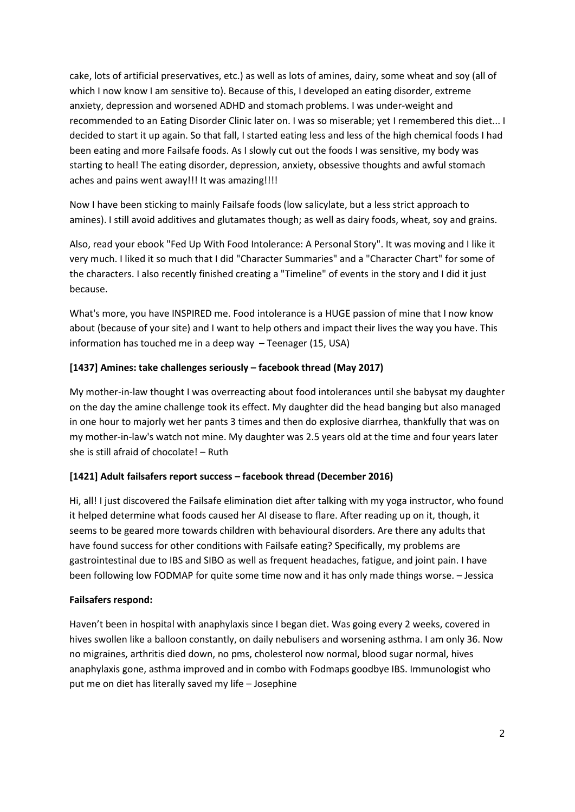cake, lots of artificial preservatives, etc.) as well as lots of amines, dairy, some wheat and soy (all of which I now know I am sensitive to). Because of this, I developed an eating disorder, extreme anxiety, depression and worsened ADHD and stomach problems. I was under-weight and recommended to an Eating Disorder Clinic later on. I was so miserable; yet I remembered this diet... I decided to start it up again. So that fall, I started eating less and less of the high chemical foods I had been eating and more Failsafe foods. As I slowly cut out the foods I was sensitive, my body was starting to heal! The eating disorder, depression, anxiety, obsessive thoughts and awful stomach aches and pains went away!!! It was amazing!!!!

Now I have been sticking to mainly Failsafe foods (low salicylate, but a less strict approach to amines). I still avoid additives and glutamates though; as well as dairy foods, wheat, soy and grains.

Also, read your ebook "Fed Up With Food Intolerance: A Personal Story". It was moving and I like it very much. I liked it so much that I did "Character Summaries" and a "Character Chart" for some of the characters. I also recently finished creating a "Timeline" of events in the story and I did it just because.

What's more, you have INSPIRED me. Food intolerance is a HUGE passion of mine that I now know about (because of your site) and I want to help others and impact their lives the way you have. This information has touched me in a deep way – Teenager (15, USA)

#### **[1437] Amines: take challenges seriously – facebook thread (May 2017)**

My mother-in-law thought I was overreacting about food intolerances until she babysat my daughter on the day the amine challenge took its effect. My daughter did the head banging but also managed in one hour to majorly wet her pants 3 times and then do explosive diarrhea, thankfully that was on my mother-in-law's watch not mine. My daughter was 2.5 years old at the time and four years later she is still afraid of chocolate! – Ruth

#### **[1421] Adult failsafers report success – facebook thread (December 2016)**

Hi, all! I just discovered the Failsafe elimination diet after talking with my yoga instructor, who found it helped determine what foods caused her AI disease to flare. After reading up on it, though, it seems to be geared more towards children with behavioural disorders. Are there any adults that have found success for other conditions with Failsafe eating? Specifically, my problems are gastrointestinal due to IBS and SIBO as well as frequent headaches, fatigue, and joint pain. I have been following low FODMAP for quite some time now and it has only made things worse. – Jessica

#### **Failsafers respond:**

Haven't been in hospital with anaphylaxis since I began diet. Was going every 2 weeks, covered in hives swollen like a balloon constantly, on daily nebulisers and worsening asthma. I am only 36. Now no migraines, arthritis died down, no pms, cholesterol now normal, blood sugar normal, hives anaphylaxis gone, asthma improved and in combo with Fodmaps goodbye IBS. Immunologist who put me on diet has literally saved my life – Josephine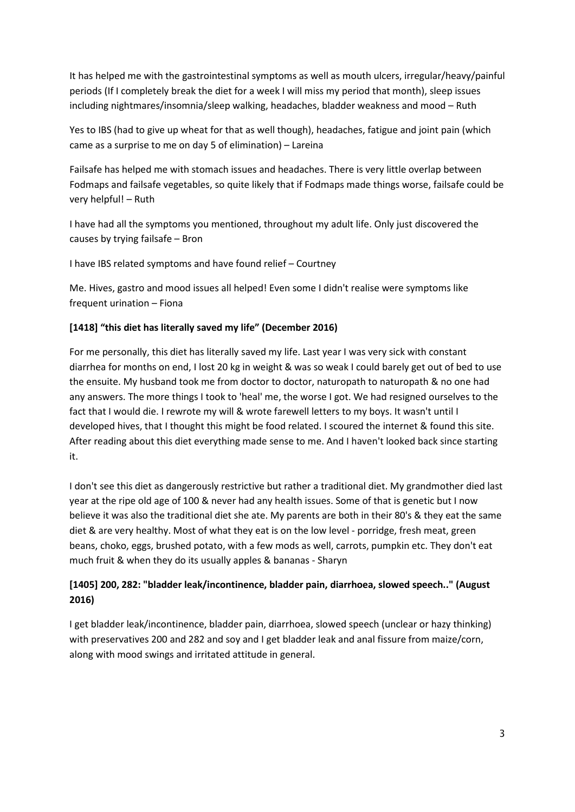It has helped me with the gastrointestinal symptoms as well as mouth ulcers, irregular/heavy/painful periods (If I completely break the diet for a week I will miss my period that month), sleep issues including nightmares/insomnia/sleep walking, headaches, bladder weakness and mood – Ruth

Yes to IBS (had to give up wheat for that as well though), headaches, fatigue and joint pain (which came as a surprise to me on day 5 of elimination) – Lareina

Failsafe has helped me with stomach issues and headaches. There is very little overlap between Fodmaps and failsafe vegetables, so quite likely that if Fodmaps made things worse, failsafe could be very helpful! – Ruth

I have had all the symptoms you mentioned, throughout my adult life. Only just discovered the causes by trying failsafe – Bron

I have IBS related symptoms and have found relief – Courtney

Me. Hives, gastro and mood issues all helped! Even some I didn't realise were symptoms like frequent urination – Fiona

#### **[1418] "this diet has literally saved my life" (December 2016)**

For me personally, this diet has literally saved my life. Last year I was very sick with constant diarrhea for months on end, I lost 20 kg in weight & was so weak I could barely get out of bed to use the ensuite. My husband took me from doctor to doctor, naturopath to naturopath & no one had any answers. The more things I took to 'heal' me, the worse I got. We had resigned ourselves to the fact that I would die. I rewrote my will & wrote farewell letters to my boys. It wasn't until I developed hives, that I thought this might be food related. I scoured the internet & found this site. After reading about this diet everything made sense to me. And I haven't looked back since starting it.

I don't see this diet as dangerously restrictive but rather a traditional diet. My grandmother died last year at the ripe old age of 100 & never had any health issues. Some of that is genetic but I now believe it was also the traditional diet she ate. My parents are both in their 80's & they eat the same diet & are very healthy. Most of what they eat is on the low level - porridge, fresh meat, green beans, choko, eggs, brushed potato, with a few mods as well, carrots, pumpkin etc. They don't eat much fruit & when they do its usually apples & bananas - Sharyn

# **[1405] 200, 282: "bladder leak/incontinence, bladder pain, diarrhoea, slowed speech.." (August 2016)**

I get bladder leak/incontinence, bladder pain, diarrhoea, slowed speech (unclear or hazy thinking) with preservatives 200 and 282 and soy and I get bladder leak and anal fissure from maize/corn, along with mood swings and irritated attitude in general.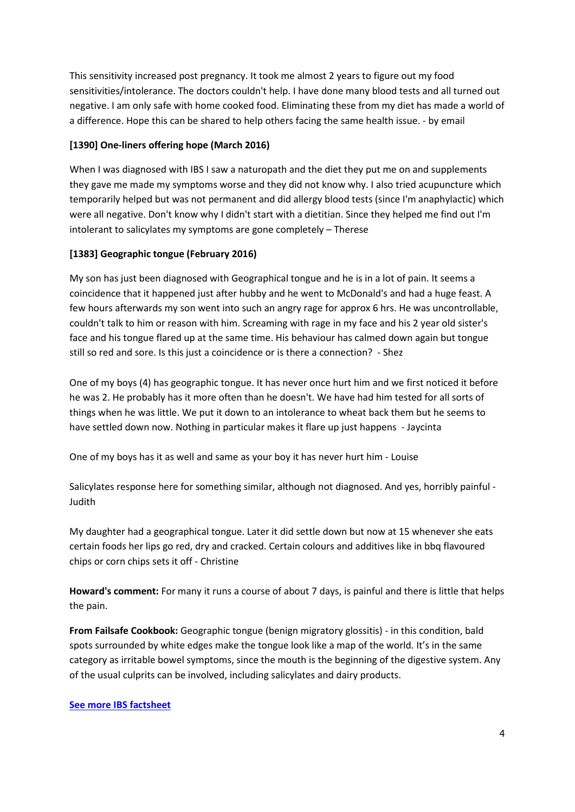This sensitivity increased post pregnancy. It took me almost 2 years to figure out my food sensitivities/intolerance. The doctors couldn't help. I have done many blood tests and all turned out negative. I am only safe with home cooked food. Eliminating these from my diet has made a world of a difference. Hope this can be shared to help others facing the same health issue. - by email

### **[1390] One-liners offering hope (March 2016)**

When I was diagnosed with IBS I saw a naturopath and the diet they put me on and supplements they gave me made my symptoms worse and they did not know why. I also tried acupuncture which temporarily helped but was not permanent and did allergy blood tests (since I'm anaphylactic) which were all negative. Don't know why I didn't start with a dietitian. Since they helped me find out I'm intolerant to salicylates my symptoms are gone completely – Therese

### **[1383] Geographic tongue (February 2016)**

My son has just been diagnosed with Geographical tongue and he is in a lot of pain. It seems a coincidence that it happened just after hubby and he went to McDonald's and had a huge feast. A few hours afterwards my son went into such an angry rage for approx 6 hrs. He was uncontrollable, couldn't talk to him or reason with him. Screaming with rage in my face and his 2 year old sister's face and his tongue flared up at the same time. His behaviour has calmed down again but tongue still so red and sore. Is this just a coincidence or is there a connection? - Shez

One of my boys (4) has geographic tongue. It has never once hurt him and we first noticed it before he was 2. He probably has it more often than he doesn't. We have had him tested for all sorts of things when he was little. We put it down to an intolerance to wheat back them but he seems to have settled down now. Nothing in particular makes it flare up just happens - Jaycinta

One of my boys has it as well and same as your boy it has never hurt him - Louise

Salicylates response here for something similar, although not diagnosed. And yes, horribly painful - Judith

My daughter had a geographical tongue. Later it did settle down but now at 15 whenever she eats certain foods her lips go red, dry and cracked. Certain colours and additives like in bbq flavoured chips or corn chips sets it off - Christine

**Howard's comment:** For many it runs a course of about 7 days, is painful and there is little that helps the pain.

**From Failsafe Cookbook:** Geographic tongue (benign migratory glossitis) - in this condition, bald spots surrounded by white edges make the tongue look like a map of the world. It's in the same category as irritable bowel symptoms, since the mouth is the beginning of the digestive system. Any of the usual culprits can be involved, including salicylates and dairy products.

#### **[See more IBS factsheet](https://www.fedup.com.au/factsheets/symptom-factsheets/irritable-bowel-symptoms-ibs)**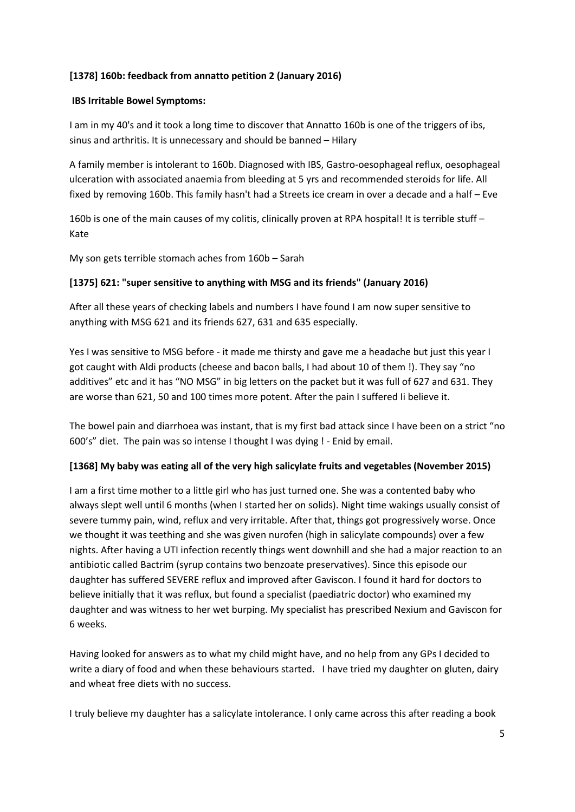#### **[1378] 160b: feedback from annatto petition 2 (January 2016)**

#### **IBS Irritable Bowel Symptoms:**

I am in my 40's and it took a long time to discover that Annatto 160b is one of the triggers of ibs, sinus and arthritis. It is unnecessary and should be banned – Hilary

A family member is intolerant to 160b. Diagnosed with IBS, Gastro-oesophageal reflux, oesophageal ulceration with associated anaemia from bleeding at 5 yrs and recommended steroids for life. All fixed by removing 160b. This family hasn't had a Streets ice cream in over a decade and a half – Eve

160b is one of the main causes of my colitis, clinically proven at RPA hospital! It is terrible stuff – Kate

My son gets terrible stomach aches from 160b – Sarah

#### **[1375] 621: "super sensitive to anything with MSG and its friends" (January 2016)**

After all these years of checking labels and numbers I have found I am now super sensitive to anything with MSG 621 and its friends 627, 631 and 635 especially.

Yes I was sensitive to MSG before - it made me thirsty and gave me a headache but just this year I got caught with Aldi products (cheese and bacon balls, I had about 10 of them !). They say "no additives" etc and it has "NO MSG" in big letters on the packet but it was full of 627 and 631. They are worse than 621, 50 and 100 times more potent. After the pain I suffered Ii believe it.

The bowel pain and diarrhoea was instant, that is my first bad attack since I have been on a strict "no 600's" diet. The pain was so intense I thought I was dying ! - Enid by email.

#### **[1368] My baby was eating all of the very high salicylate fruits and vegetables (November 2015)**

I am a first time mother to a little girl who has just turned one. She was a contented baby who always slept well until 6 months (when I started her on solids). Night time wakings usually consist of severe tummy pain, wind, reflux and very irritable. After that, things got progressively worse. Once we thought it was teething and she was given nurofen (high in salicylate compounds) over a few nights. After having a UTI infection recently things went downhill and she had a major reaction to an antibiotic called Bactrim (syrup contains two benzoate preservatives). Since this episode our daughter has suffered SEVERE reflux and improved after Gaviscon. I found it hard for doctors to believe initially that it was reflux, but found a specialist (paediatric doctor) who examined my daughter and was witness to her wet burping. My specialist has prescribed Nexium and Gaviscon for 6 weeks.

Having looked for answers as to what my child might have, and no help from any GPs I decided to write a diary of food and when these behaviours started. I have tried my daughter on gluten, dairy and wheat free diets with no success.

I truly believe my daughter has a salicylate intolerance. I only came across this after reading a book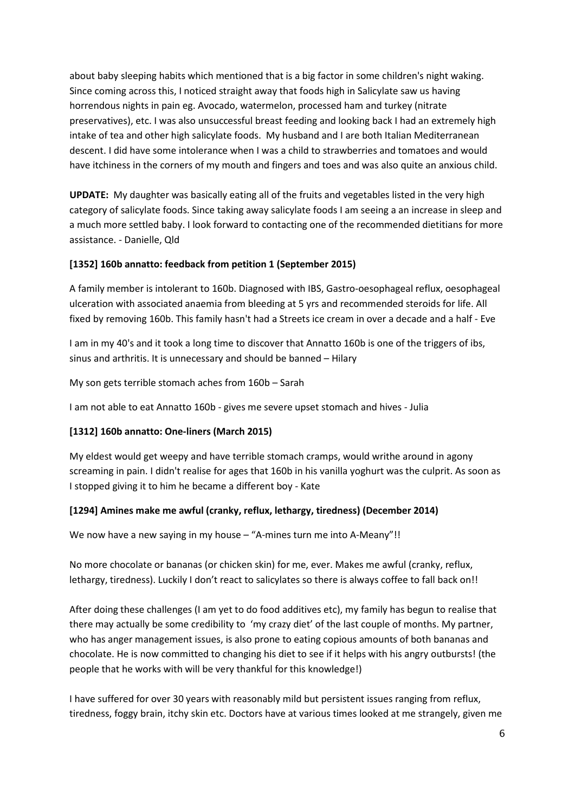about baby sleeping habits which mentioned that is a big factor in some children's night waking. Since coming across this, I noticed straight away that foods high in Salicylate saw us having horrendous nights in pain eg. Avocado, watermelon, processed ham and turkey (nitrate preservatives), etc. I was also unsuccessful breast feeding and looking back I had an extremely high intake of tea and other high salicylate foods. My husband and I are both Italian Mediterranean descent. I did have some intolerance when I was a child to strawberries and tomatoes and would have itchiness in the corners of my mouth and fingers and toes and was also quite an anxious child.

**UPDATE:** My daughter was basically eating all of the fruits and vegetables listed in the very high category of salicylate foods. Since taking away salicylate foods I am seeing a an increase in sleep and a much more settled baby. I look forward to contacting one of the recommended dietitians for more assistance. - Danielle, Qld

#### **[1352] 160b annatto: feedback from petition 1 (September 2015)**

A family member is intolerant to 160b. Diagnosed with IBS, Gastro-oesophageal reflux, oesophageal ulceration with associated anaemia from bleeding at 5 yrs and recommended steroids for life. All fixed by removing 160b. This family hasn't had a Streets ice cream in over a decade and a half - Eve

I am in my 40's and it took a long time to discover that Annatto 160b is one of the triggers of ibs, sinus and arthritis. It is unnecessary and should be banned – Hilary

My son gets terrible stomach aches from 160b – Sarah

I am not able to eat Annatto 160b - gives me severe upset stomach and hives - Julia

#### **[1312] 160b annatto: One-liners (March 2015)**

My eldest would get weepy and have terrible stomach cramps, would writhe around in agony screaming in pain. I didn't realise for ages that 160b in his vanilla yoghurt was the culprit. As soon as I stopped giving it to him he became a different boy - Kate

#### **[1294] Amines make me awful (cranky, reflux, lethargy, tiredness) (December 2014)**

We now have a new saying in my house – "A-mines turn me into A-Meany"!!

No more chocolate or bananas (or chicken skin) for me, ever. Makes me awful (cranky, reflux, lethargy, tiredness). Luckily I don't react to salicylates so there is always coffee to fall back on!!

After doing these challenges (I am yet to do food additives etc), my family has begun to realise that there may actually be some credibility to 'my crazy diet' of the last couple of months. My partner, who has anger management issues, is also prone to eating copious amounts of both bananas and chocolate. He is now committed to changing his diet to see if it helps with his angry outbursts! (the people that he works with will be very thankful for this knowledge!)

I have suffered for over 30 years with reasonably mild but persistent issues ranging from reflux, tiredness, foggy brain, itchy skin etc. Doctors have at various times looked at me strangely, given me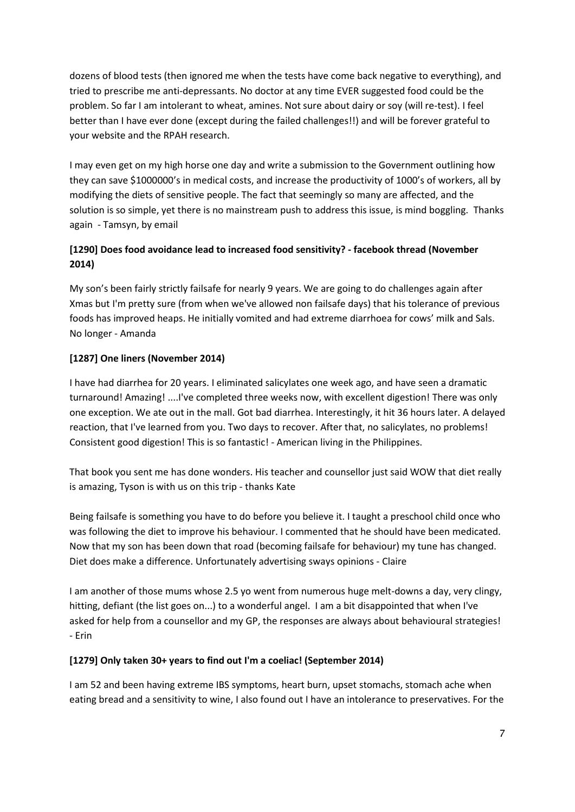dozens of blood tests (then ignored me when the tests have come back negative to everything), and tried to prescribe me anti-depressants. No doctor at any time EVER suggested food could be the problem. So far I am intolerant to wheat, amines. Not sure about dairy or soy (will re-test). I feel better than I have ever done (except during the failed challenges!!) and will be forever grateful to your website and the RPAH research.

I may even get on my high horse one day and write a submission to the Government outlining how they can save \$1000000's in medical costs, and increase the productivity of 1000's of workers, all by modifying the diets of sensitive people. The fact that seemingly so many are affected, and the solution is so simple, yet there is no mainstream push to address this issue, is mind boggling. Thanks again - Tamsyn, by email

# **[1290] Does food avoidance lead to increased food sensitivity? - facebook thread (November 2014)**

My son's been fairly strictly failsafe for nearly 9 years. We are going to do challenges again after Xmas but I'm pretty sure (from when we've allowed non failsafe days) that his tolerance of previous foods has improved heaps. He initially vomited and had extreme diarrhoea for cows' milk and Sals. No longer - Amanda

# **[1287] One liners (November 2014)**

I have had diarrhea for 20 years. I eliminated salicylates one week ago, and have seen a dramatic turnaround! Amazing! ....I've completed three weeks now, with excellent digestion! There was only one exception. We ate out in the mall. Got bad diarrhea. Interestingly, it hit 36 hours later. A delayed reaction, that I've learned from you. Two days to recover. After that, no salicylates, no problems! Consistent good digestion! This is so fantastic! - American living in the Philippines.

That book you sent me has done wonders. His teacher and counsellor just said WOW that diet really is amazing, Tyson is with us on this trip - thanks Kate

Being failsafe is something you have to do before you believe it. I taught a preschool child once who was following the diet to improve his behaviour. I commented that he should have been medicated. Now that my son has been down that road (becoming failsafe for behaviour) my tune has changed. Diet does make a difference. Unfortunately advertising sways opinions - Claire

I am another of those mums whose 2.5 yo went from numerous huge melt-downs a day, very clingy, hitting, defiant (the list goes on...) to a wonderful angel. I am a bit disappointed that when I've asked for help from a counsellor and my GP, the responses are always about behavioural strategies! - Erin

#### **[1279] Only taken 30+ years to find out I'm a coeliac! (September 2014)**

I am 52 and been having extreme IBS symptoms, heart burn, upset stomachs, stomach ache when eating bread and a sensitivity to wine, I also found out I have an intolerance to preservatives. For the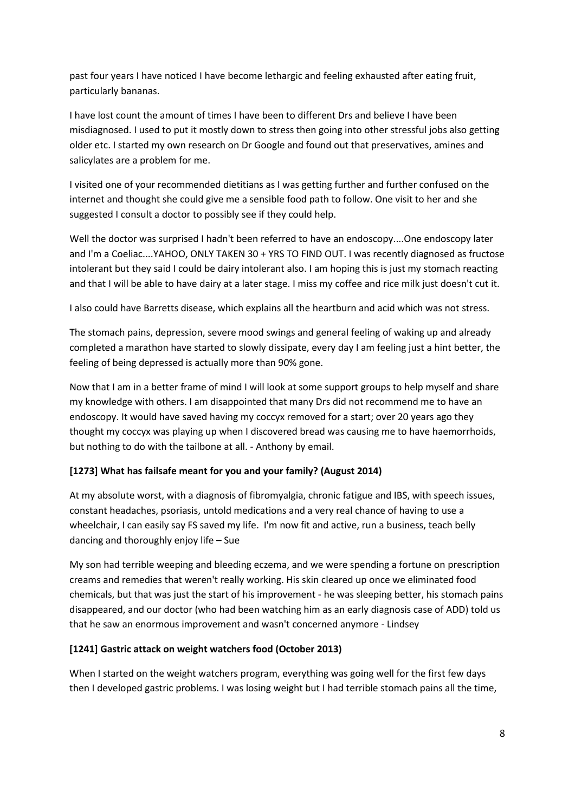past four years I have noticed I have become lethargic and feeling exhausted after eating fruit, particularly bananas.

I have lost count the amount of times I have been to different Drs and believe I have been misdiagnosed. I used to put it mostly down to stress then going into other stressful jobs also getting older etc. I started my own research on Dr Google and found out that preservatives, amines and salicylates are a problem for me.

I visited one of your recommended dietitians as I was getting further and further confused on the internet and thought she could give me a sensible food path to follow. One visit to her and she suggested I consult a doctor to possibly see if they could help.

Well the doctor was surprised I hadn't been referred to have an endoscopy....One endoscopy later and I'm a Coeliac....YAHOO, ONLY TAKEN 30 + YRS TO FIND OUT. I was recently diagnosed as fructose intolerant but they said I could be dairy intolerant also. I am hoping this is just my stomach reacting and that I will be able to have dairy at a later stage. I miss my coffee and rice milk just doesn't cut it.

I also could have Barretts disease, which explains all the heartburn and acid which was not stress.

The stomach pains, depression, severe mood swings and general feeling of waking up and already completed a marathon have started to slowly dissipate, every day I am feeling just a hint better, the feeling of being depressed is actually more than 90% gone.

Now that I am in a better frame of mind I will look at some support groups to help myself and share my knowledge with others. I am disappointed that many Drs did not recommend me to have an endoscopy. It would have saved having my coccyx removed for a start; over 20 years ago they thought my coccyx was playing up when I discovered bread was causing me to have haemorrhoids, but nothing to do with the tailbone at all. - Anthony by email.

# **[1273] What has failsafe meant for you and your family? (August 2014)**

At my absolute worst, with a diagnosis of fibromyalgia, chronic fatigue and IBS, with speech issues, constant headaches, psoriasis, untold medications and a very real chance of having to use a wheelchair, I can easily say FS saved my life. I'm now fit and active, run a business, teach belly dancing and thoroughly enjoy life – Sue

My son had terrible weeping and bleeding eczema, and we were spending a fortune on prescription creams and remedies that weren't really working. His skin cleared up once we eliminated food chemicals, but that was just the start of his improvement - he was sleeping better, his stomach pains disappeared, and our doctor (who had been watching him as an early diagnosis case of ADD) told us that he saw an enormous improvement and wasn't concerned anymore - Lindsey

#### **[1241] Gastric attack on weight watchers food (October 2013)**

When I started on the weight watchers program, everything was going well for the first few days then I developed gastric problems. I was losing weight but I had terrible stomach pains all the time,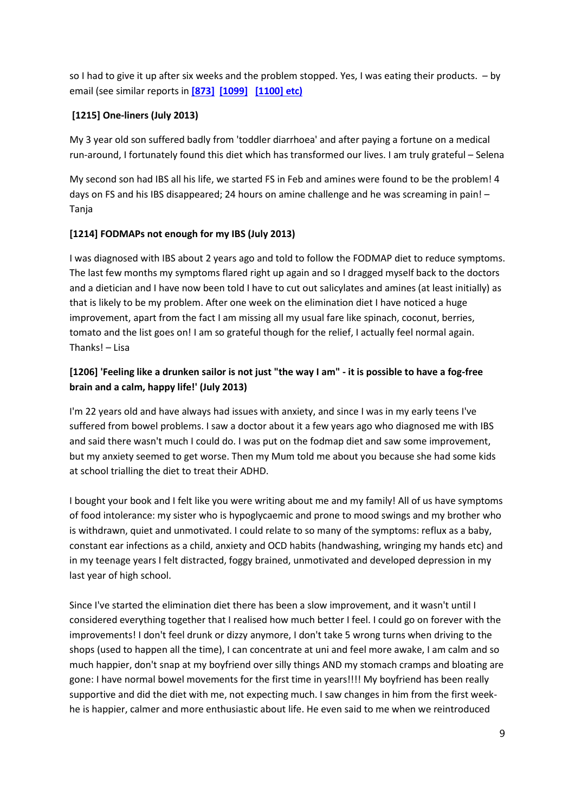so I had to give it up after six weeks and the problem stopped. Yes, I was eating their products. – by email (see similar reports in **[\[873\]](https://www.fedup.com.au/stories/2009/873-635-flavour-enhancers-and-labile-blood-pressure-november-2009) [\[1099\]](https://www.fedup.com.au/stories/2012/1099-635-ribo-rash-from-tony-ferguson-weight-loss-soups-february-2012) [\[1100\] etc\)](https://www.fedup.com.au/stories/2012/1100-621-reaction-to-the-tony-ferguson-diet-february-2012)**

### **[1215] One-liners (July 2013)**

My 3 year old son suffered badly from 'toddler diarrhoea' and after paying a fortune on a medical run-around, I fortunately found this diet which has transformed our lives. I am truly grateful – Selena

My second son had IBS all his life, we started FS in Feb and amines were found to be the problem! 4 days on FS and his IBS disappeared; 24 hours on amine challenge and he was screaming in pain! – Tanja

### **[1214] FODMAPs not enough for my IBS (July 2013)**

I was diagnosed with IBS about 2 years ago and told to follow the FODMAP diet to reduce symptoms. The last few months my symptoms flared right up again and so I dragged myself back to the doctors and a dietician and I have now been told I have to cut out salicylates and amines (at least initially) as that is likely to be my problem. After one week on the elimination diet I have noticed a huge improvement, apart from the fact I am missing all my usual fare like spinach, coconut, berries, tomato and the list goes on! I am so grateful though for the relief, I actually feel normal again. Thanks! – Lisa

# **[1206] 'Feeling like a drunken sailor is not just "the way I am" - it is possible to have a fog-free brain and a calm, happy life!' (July 2013)**

I'm 22 years old and have always had issues with anxiety, and since I was in my early teens I've suffered from bowel problems. I saw a doctor about it a few years ago who diagnosed me with IBS and said there wasn't much I could do. I was put on the fodmap diet and saw some improvement, but my anxiety seemed to get worse. Then my Mum told me about you because she had some kids at school trialling the diet to treat their ADHD.

I bought your book and I felt like you were writing about me and my family! All of us have symptoms of food intolerance: my sister who is hypoglycaemic and prone to mood swings and my brother who is withdrawn, quiet and unmotivated. I could relate to so many of the symptoms: reflux as a baby, constant ear infections as a child, anxiety and OCD habits (handwashing, wringing my hands etc) and in my teenage years I felt distracted, foggy brained, unmotivated and developed depression in my last year of high school.

Since I've started the elimination diet there has been a slow improvement, and it wasn't until I considered everything together that I realised how much better I feel. I could go on forever with the improvements! I don't feel drunk or dizzy anymore, I don't take 5 wrong turns when driving to the shops (used to happen all the time), I can concentrate at uni and feel more awake, I am calm and so much happier, don't snap at my boyfriend over silly things AND my stomach cramps and bloating are gone: I have normal bowel movements for the first time in years!!!! My boyfriend has been really supportive and did the diet with me, not expecting much. I saw changes in him from the first weekhe is happier, calmer and more enthusiastic about life. He even said to me when we reintroduced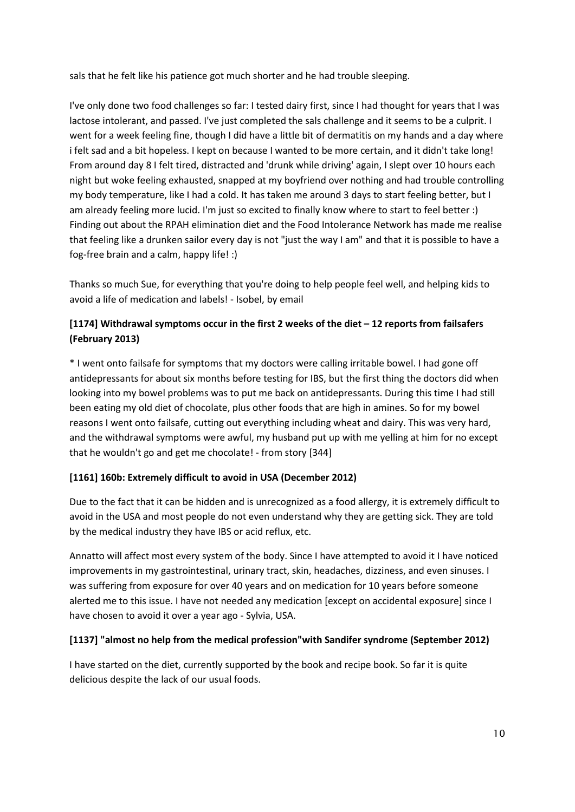sals that he felt like his patience got much shorter and he had trouble sleeping.

I've only done two food challenges so far: I tested dairy first, since I had thought for years that I was lactose intolerant, and passed. I've just completed the sals challenge and it seems to be a culprit. I went for a week feeling fine, though I did have a little bit of dermatitis on my hands and a day where i felt sad and a bit hopeless. I kept on because I wanted to be more certain, and it didn't take long! From around day 8 I felt tired, distracted and 'drunk while driving' again, I slept over 10 hours each night but woke feeling exhausted, snapped at my boyfriend over nothing and had trouble controlling my body temperature, like I had a cold. It has taken me around 3 days to start feeling better, but I am already feeling more lucid. I'm just so excited to finally know where to start to feel better :) Finding out about the RPAH elimination diet and the Food Intolerance Network has made me realise that feeling like a drunken sailor every day is not "just the way I am" and that it is possible to have a fog-free brain and a calm, happy life! :)

Thanks so much Sue, for everything that you're doing to help people feel well, and helping kids to avoid a life of medication and labels! - Isobel, by email

# **[1174] Withdrawal symptoms occur in the first 2 weeks of the diet – 12 reports from failsafers (February 2013)**

\* I went onto failsafe for symptoms that my doctors were calling irritable bowel. I had gone off antidepressants for about six months before testing for IBS, but the first thing the doctors did when looking into my bowel problems was to put me back on antidepressants. During this time I had still been eating my old diet of chocolate, plus other foods that are high in amines. So for my bowel reasons I went onto failsafe, cutting out everything including wheat and dairy. This was very hard, and the withdrawal symptoms were awful, my husband put up with me yelling at him for no except that he wouldn't go and get me chocolate! - from story [344]

# **[1161] 160b: Extremely difficult to avoid in USA (December 2012)**

Due to the fact that it can be hidden and is unrecognized as a food allergy, it is extremely difficult to avoid in the USA and most people do not even understand why they are getting sick. They are told by the medical industry they have IBS or acid reflux, etc.

Annatto will affect most every system of the body. Since I have attempted to avoid it I have noticed improvements in my gastrointestinal, urinary tract, skin, headaches, dizziness, and even sinuses. I was suffering from exposure for over 40 years and on medication for 10 years before someone alerted me to this issue. I have not needed any medication [except on accidental exposure] since I have chosen to avoid it over a year ago - Sylvia, USA.

# **[1137] "almost no help from the medical profession"with Sandifer syndrome (September 2012)**

I have started on the diet, currently supported by the book and recipe book. So far it is quite delicious despite the lack of our usual foods.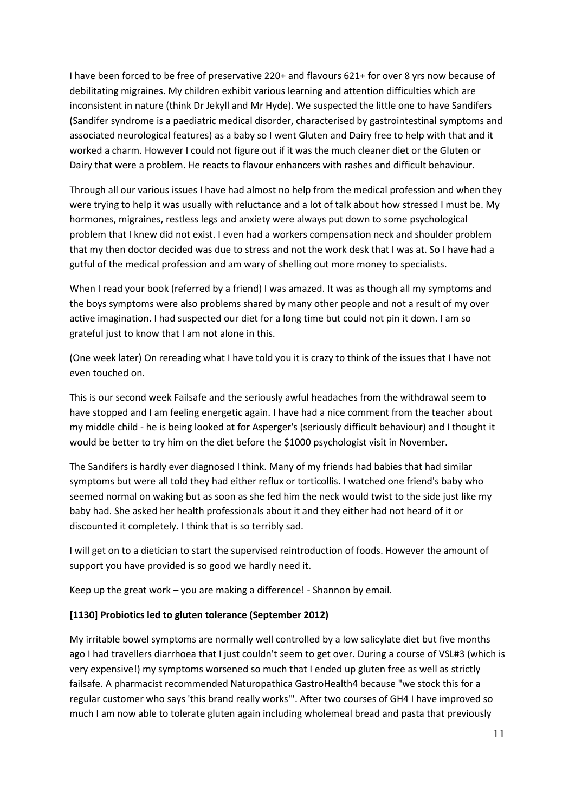I have been forced to be free of preservative 220+ and flavours 621+ for over 8 yrs now because of debilitating migraines. My children exhibit various learning and attention difficulties which are inconsistent in nature (think Dr Jekyll and Mr Hyde). We suspected the little one to have Sandifers (Sandifer syndrome is a paediatric medical disorder, characterised by gastrointestinal symptoms and associated neurological features) as a baby so I went Gluten and Dairy free to help with that and it worked a charm. However I could not figure out if it was the much cleaner diet or the Gluten or Dairy that were a problem. He reacts to flavour enhancers with rashes and difficult behaviour.

Through all our various issues I have had almost no help from the medical profession and when they were trying to help it was usually with reluctance and a lot of talk about how stressed I must be. My hormones, migraines, restless legs and anxiety were always put down to some psychological problem that I knew did not exist. I even had a workers compensation neck and shoulder problem that my then doctor decided was due to stress and not the work desk that I was at. So I have had a gutful of the medical profession and am wary of shelling out more money to specialists.

When I read your book (referred by a friend) I was amazed. It was as though all my symptoms and the boys symptoms were also problems shared by many other people and not a result of my over active imagination. I had suspected our diet for a long time but could not pin it down. I am so grateful just to know that I am not alone in this.

(One week later) On rereading what I have told you it is crazy to think of the issues that I have not even touched on.

This is our second week Failsafe and the seriously awful headaches from the withdrawal seem to have stopped and I am feeling energetic again. I have had a nice comment from the teacher about my middle child - he is being looked at for Asperger's (seriously difficult behaviour) and I thought it would be better to try him on the diet before the \$1000 psychologist visit in November.

The Sandifers is hardly ever diagnosed I think. Many of my friends had babies that had similar symptoms but were all told they had either reflux or torticollis. I watched one friend's baby who seemed normal on waking but as soon as she fed him the neck would twist to the side just like my baby had. She asked her health professionals about it and they either had not heard of it or discounted it completely. I think that is so terribly sad.

I will get on to a dietician to start the supervised reintroduction of foods. However the amount of support you have provided is so good we hardly need it.

Keep up the great work – you are making a difference! - Shannon by email.

#### **[1130] Probiotics led to gluten tolerance (September 2012)**

My irritable bowel symptoms are normally well controlled by a low salicylate diet but five months ago I had travellers diarrhoea that I just couldn't seem to get over. During a course of VSL#3 (which is very expensive!) my symptoms worsened so much that I ended up gluten free as well as strictly failsafe. A pharmacist recommended Naturopathica GastroHealth4 because "we stock this for a regular customer who says 'this brand really works'". After two courses of GH4 I have improved so much I am now able to tolerate gluten again including wholemeal bread and pasta that previously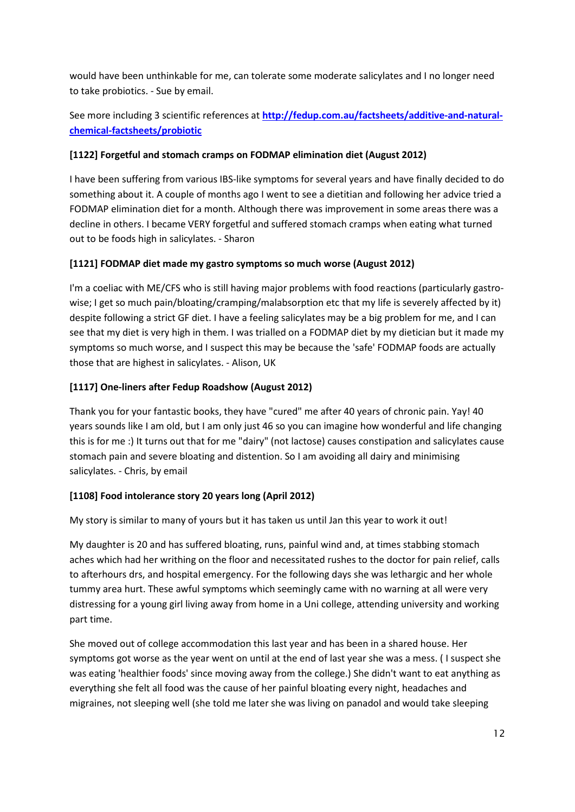would have been unthinkable for me, can tolerate some moderate salicylates and I no longer need to take probiotics. - Sue by email.

See more including 3 scientific references at **[http://fedup.com.au/factsheets/additive-and-natural](http://fedup.com.au/factsheets/additive-and-natural-chemical-factsheets/probiotics)[chemical-factsheets/probiotic](http://fedup.com.au/factsheets/additive-and-natural-chemical-factsheets/probiotics)**

# **[1122] Forgetful and stomach cramps on FODMAP elimination diet (August 2012)**

I have been suffering from various IBS-like symptoms for several years and have finally decided to do something about it. A couple of months ago I went to see a dietitian and following her advice tried a FODMAP elimination diet for a month. Although there was improvement in some areas there was a decline in others. I became VERY forgetful and suffered stomach cramps when eating what turned out to be foods high in salicylates. - Sharon

# **[1121] FODMAP diet made my gastro symptoms so much worse (August 2012)**

I'm a coeliac with ME/CFS who is still having major problems with food reactions (particularly gastrowise; I get so much pain/bloating/cramping/malabsorption etc that my life is severely affected by it) despite following a strict GF diet. I have a feeling salicylates may be a big problem for me, and I can see that my diet is very high in them. I was trialled on a FODMAP diet by my dietician but it made my symptoms so much worse, and I suspect this may be because the 'safe' FODMAP foods are actually those that are highest in salicylates. - Alison, UK

### **[1117] One-liners after Fedup Roadshow (August 2012)**

Thank you for your fantastic books, they have "cured" me after 40 years of chronic pain. Yay! 40 years sounds like I am old, but I am only just 46 so you can imagine how wonderful and life changing this is for me :) It turns out that for me "dairy" (not lactose) causes constipation and salicylates cause stomach pain and severe bloating and distention. So I am avoiding all dairy and minimising salicylates. - Chris, by email

# **[1108] Food intolerance story 20 years long (April 2012)**

My story is similar to many of yours but it has taken us until Jan this year to work it out!

My daughter is 20 and has suffered bloating, runs, painful wind and, at times stabbing stomach aches which had her writhing on the floor and necessitated rushes to the doctor for pain relief, calls to afterhours drs, and hospital emergency. For the following days she was lethargic and her whole tummy area hurt. These awful symptoms which seemingly came with no warning at all were very distressing for a young girl living away from home in a Uni college, attending university and working part time.

She moved out of college accommodation this last year and has been in a shared house. Her symptoms got worse as the year went on until at the end of last year she was a mess. ( I suspect she was eating 'healthier foods' since moving away from the college.) She didn't want to eat anything as everything she felt all food was the cause of her painful bloating every night, headaches and migraines, not sleeping well (she told me later she was living on panadol and would take sleeping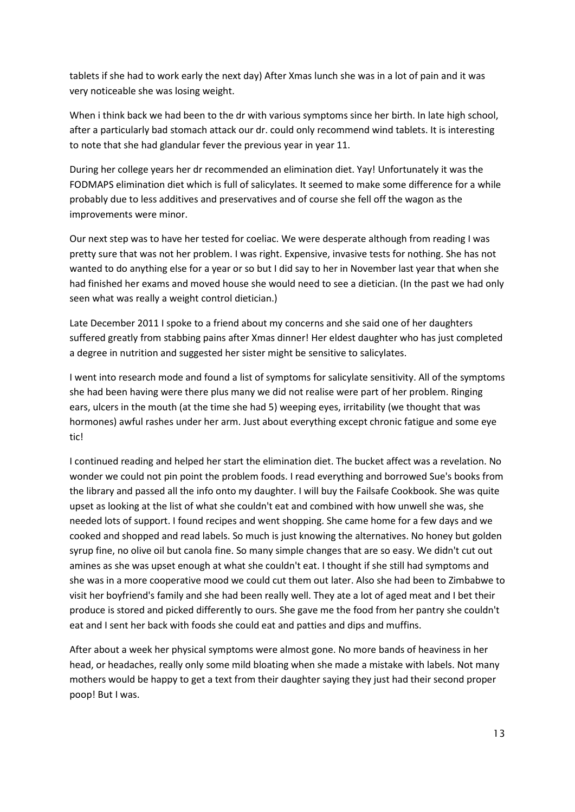tablets if she had to work early the next day) After Xmas lunch she was in a lot of pain and it was very noticeable she was losing weight.

When i think back we had been to the dr with various symptoms since her birth. In late high school, after a particularly bad stomach attack our dr. could only recommend wind tablets. It is interesting to note that she had glandular fever the previous year in year 11.

During her college years her dr recommended an elimination diet. Yay! Unfortunately it was the FODMAPS elimination diet which is full of salicylates. It seemed to make some difference for a while probably due to less additives and preservatives and of course she fell off the wagon as the improvements were minor.

Our next step was to have her tested for coeliac. We were desperate although from reading I was pretty sure that was not her problem. I was right. Expensive, invasive tests for nothing. She has not wanted to do anything else for a year or so but I did say to her in November last year that when she had finished her exams and moved house she would need to see a dietician. (In the past we had only seen what was really a weight control dietician.)

Late December 2011 I spoke to a friend about my concerns and she said one of her daughters suffered greatly from stabbing pains after Xmas dinner! Her eldest daughter who has just completed a degree in nutrition and suggested her sister might be sensitive to salicylates.

I went into research mode and found a list of symptoms for salicylate sensitivity. All of the symptoms she had been having were there plus many we did not realise were part of her problem. Ringing ears, ulcers in the mouth (at the time she had 5) weeping eyes, irritability (we thought that was hormones) awful rashes under her arm. Just about everything except chronic fatigue and some eye tic!

I continued reading and helped her start the elimination diet. The bucket affect was a revelation. No wonder we could not pin point the problem foods. I read everything and borrowed Sue's books from the library and passed all the info onto my daughter. I will buy the Failsafe Cookbook. She was quite upset as looking at the list of what she couldn't eat and combined with how unwell she was, she needed lots of support. I found recipes and went shopping. She came home for a few days and we cooked and shopped and read labels. So much is just knowing the alternatives. No honey but golden syrup fine, no olive oil but canola fine. So many simple changes that are so easy. We didn't cut out amines as she was upset enough at what she couldn't eat. I thought if she still had symptoms and she was in a more cooperative mood we could cut them out later. Also she had been to Zimbabwe to visit her boyfriend's family and she had been really well. They ate a lot of aged meat and I bet their produce is stored and picked differently to ours. She gave me the food from her pantry she couldn't eat and I sent her back with foods she could eat and patties and dips and muffins.

After about a week her physical symptoms were almost gone. No more bands of heaviness in her head, or headaches, really only some mild bloating when she made a mistake with labels. Not many mothers would be happy to get a text from their daughter saying they just had their second proper poop! But I was.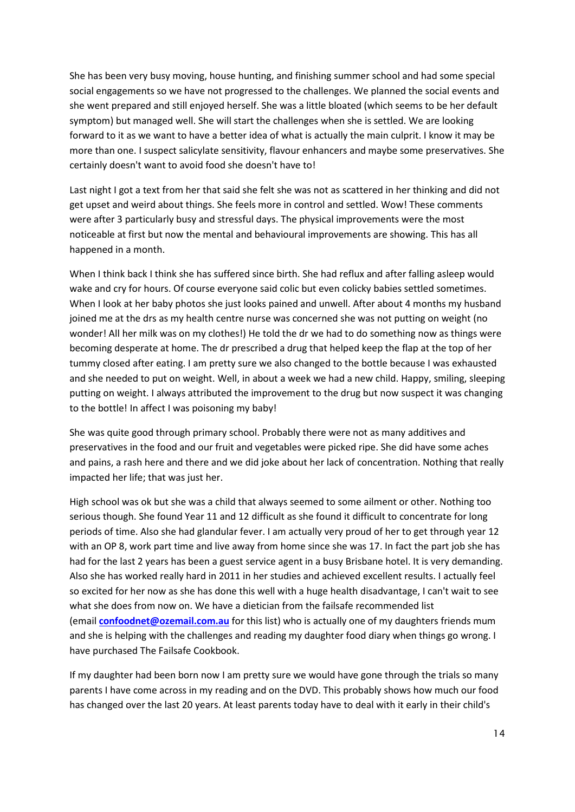She has been very busy moving, house hunting, and finishing summer school and had some special social engagements so we have not progressed to the challenges. We planned the social events and she went prepared and still enjoyed herself. She was a little bloated (which seems to be her default symptom) but managed well. She will start the challenges when she is settled. We are looking forward to it as we want to have a better idea of what is actually the main culprit. I know it may be more than one. I suspect salicylate sensitivity, flavour enhancers and maybe some preservatives. She certainly doesn't want to avoid food she doesn't have to!

Last night I got a text from her that said she felt she was not as scattered in her thinking and did not get upset and weird about things. She feels more in control and settled. Wow! These comments were after 3 particularly busy and stressful days. The physical improvements were the most noticeable at first but now the mental and behavioural improvements are showing. This has all happened in a month.

When I think back I think she has suffered since birth. She had reflux and after falling asleep would wake and cry for hours. Of course everyone said colic but even colicky babies settled sometimes. When I look at her baby photos she just looks pained and unwell. After about 4 months my husband joined me at the drs as my health centre nurse was concerned she was not putting on weight (no wonder! All her milk was on my clothes!) He told the dr we had to do something now as things were becoming desperate at home. The dr prescribed a drug that helped keep the flap at the top of her tummy closed after eating. I am pretty sure we also changed to the bottle because I was exhausted and she needed to put on weight. Well, in about a week we had a new child. Happy, smiling, sleeping putting on weight. I always attributed the improvement to the drug but now suspect it was changing to the bottle! In affect I was poisoning my baby!

She was quite good through primary school. Probably there were not as many additives and preservatives in the food and our fruit and vegetables were picked ripe. She did have some aches and pains, a rash here and there and we did joke about her lack of concentration. Nothing that really impacted her life; that was just her.

High school was ok but she was a child that always seemed to some ailment or other. Nothing too serious though. She found Year 11 and 12 difficult as she found it difficult to concentrate for long periods of time. Also she had glandular fever. I am actually very proud of her to get through year 12 with an OP 8, work part time and live away from home since she was 17. In fact the part job she has had for the last 2 years has been a guest service agent in a busy Brisbane hotel. It is very demanding. Also she has worked really hard in 2011 in her studies and achieved excellent results. I actually feel so excited for her now as she has done this well with a huge health disadvantage, I can't wait to see what she does from now on. We have a dietician from the failsafe recommended list (email **[confoodnet@ozemail.com.au](mailto:confoodnet@ozemail.com.au)** for this list) who is actually one of my daughters friends mum and she is helping with the challenges and reading my daughter food diary when things go wrong. I have purchased The Failsafe Cookbook.

If my daughter had been born now I am pretty sure we would have gone through the trials so many parents I have come across in my reading and on the DVD. This probably shows how much our food has changed over the last 20 years. At least parents today have to deal with it early in their child's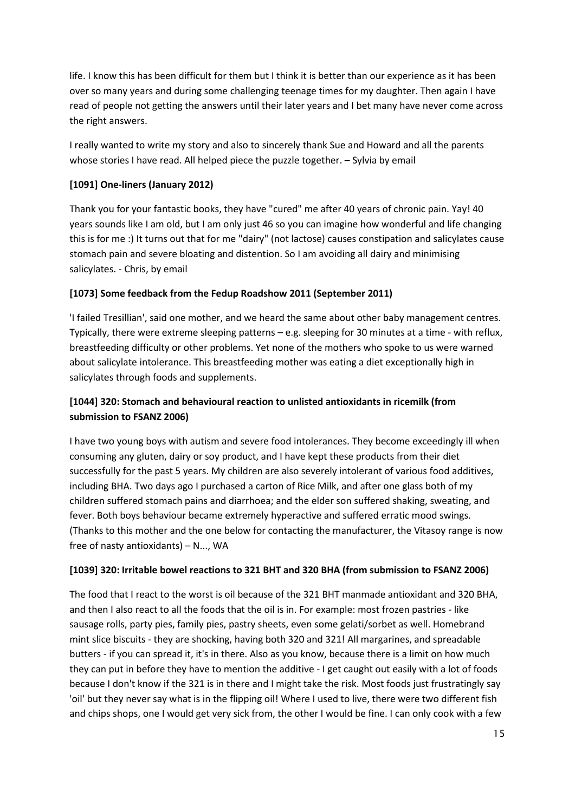life. I know this has been difficult for them but I think it is better than our experience as it has been over so many years and during some challenging teenage times for my daughter. Then again I have read of people not getting the answers until their later years and I bet many have never come across the right answers.

I really wanted to write my story and also to sincerely thank Sue and Howard and all the parents whose stories I have read. All helped piece the puzzle together. – Sylvia by email

### **[1091] One-liners (January 2012)**

Thank you for your fantastic books, they have "cured" me after 40 years of chronic pain. Yay! 40 years sounds like I am old, but I am only just 46 so you can imagine how wonderful and life changing this is for me :) It turns out that for me "dairy" (not lactose) causes constipation and salicylates cause stomach pain and severe bloating and distention. So I am avoiding all dairy and minimising salicylates. - Chris, by email

#### **[1073] Some feedback from the Fedup Roadshow 2011 (September 2011)**

'I failed Tresillian', said one mother, and we heard the same about other baby management centres. Typically, there were extreme sleeping patterns – e.g. sleeping for 30 minutes at a time - with reflux, breastfeeding difficulty or other problems. Yet none of the mothers who spoke to us were warned about salicylate intolerance. This breastfeeding mother was eating a diet exceptionally high in salicylates through foods and supplements.

# **[1044] 320: Stomach and behavioural reaction to unlisted antioxidants in ricemilk (from submission to FSANZ 2006)**

I have two young boys with autism and severe food intolerances. They become exceedingly ill when consuming any gluten, dairy or soy product, and I have kept these products from their diet successfully for the past 5 years. My children are also severely intolerant of various food additives, including BHA. Two days ago I purchased a carton of Rice Milk, and after one glass both of my children suffered stomach pains and diarrhoea; and the elder son suffered shaking, sweating, and fever. Both boys behaviour became extremely hyperactive and suffered erratic mood swings. (Thanks to this mother and the one below for contacting the manufacturer, the Vitasoy range is now free of nasty antioxidants) – N..., WA

#### **[1039] 320: Irritable bowel reactions to 321 BHT and 320 BHA (from submission to FSANZ 2006)**

The food that I react to the worst is oil because of the 321 BHT manmade antioxidant and 320 BHA, and then I also react to all the foods that the oil is in. For example: most frozen pastries - like sausage rolls, party pies, family pies, pastry sheets, even some gelati/sorbet as well. Homebrand mint slice biscuits - they are shocking, having both 320 and 321! All margarines, and spreadable butters - if you can spread it, it's in there. Also as you know, because there is a limit on how much they can put in before they have to mention the additive - I get caught out easily with a lot of foods because I don't know if the 321 is in there and I might take the risk. Most foods just frustratingly say 'oil' but they never say what is in the flipping oil! Where I used to live, there were two different fish and chips shops, one I would get very sick from, the other I would be fine. I can only cook with a few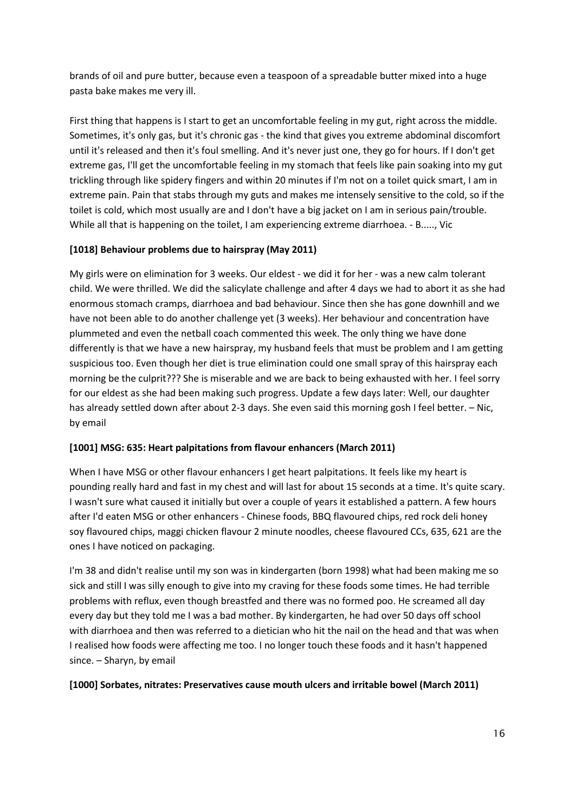brands of oil and pure butter, because even a teaspoon of a spreadable butter mixed into a huge pasta bake makes me very ill.

First thing that happens is I start to get an uncomfortable feeling in my gut, right across the middle. Sometimes, it's only gas, but it's chronic gas - the kind that gives you extreme abdominal discomfort until it's released and then it's foul smelling. And it's never just one, they go for hours. If I don't get extreme gas, I'll get the uncomfortable feeling in my stomach that feels like pain soaking into my gut trickling through like spidery fingers and within 20 minutes if I'm not on a toilet quick smart, I am in extreme pain. Pain that stabs through my guts and makes me intensely sensitive to the cold, so if the toilet is cold, which most usually are and I don't have a big jacket on I am in serious pain/trouble. While all that is happening on the toilet, I am experiencing extreme diarrhoea. - B....., Vic

### **[1018] Behaviour problems due to hairspray (May 2011)**

My girls were on elimination for 3 weeks. Our eldest - we did it for her - was a new calm tolerant child. We were thrilled. We did the salicylate challenge and after 4 days we had to abort it as she had enormous stomach cramps, diarrhoea and bad behaviour. Since then she has gone downhill and we have not been able to do another challenge yet (3 weeks). Her behaviour and concentration have plummeted and even the netball coach commented this week. The only thing we have done differently is that we have a new hairspray, my husband feels that must be problem and I am getting suspicious too. Even though her diet is true elimination could one small spray of this hairspray each morning be the culprit??? She is miserable and we are back to being exhausted with her. I feel sorry for our eldest as she had been making such progress. Update a few days later: Well, our daughter has already settled down after about 2-3 days. She even said this morning gosh I feel better. - Nic, by email

#### **[1001] MSG: 635: Heart palpitations from flavour enhancers (March 2011)**

When I have MSG or other flavour enhancers I get heart palpitations. It feels like my heart is pounding really hard and fast in my chest and will last for about 15 seconds at a time. It's quite scary. I wasn't sure what caused it initially but over a couple of years it established a pattern. A few hours after I'd eaten MSG or other enhancers - Chinese foods, BBQ flavoured chips, red rock deli honey soy flavoured chips, maggi chicken flavour 2 minute noodles, cheese flavoured CCs, 635, 621 are the ones I have noticed on packaging.

I'm 38 and didn't realise until my son was in kindergarten (born 1998) what had been making me so sick and still I was silly enough to give into my craving for these foods some times. He had terrible problems with reflux, even though breastfed and there was no formed poo. He screamed all day every day but they told me I was a bad mother. By kindergarten, he had over 50 days off school with diarrhoea and then was referred to a dietician who hit the nail on the head and that was when I realised how foods were affecting me too. I no longer touch these foods and it hasn't happened since. – Sharyn, by email

#### **[1000] Sorbates, nitrates: Preservatives cause mouth ulcers and irritable bowel (March 2011)**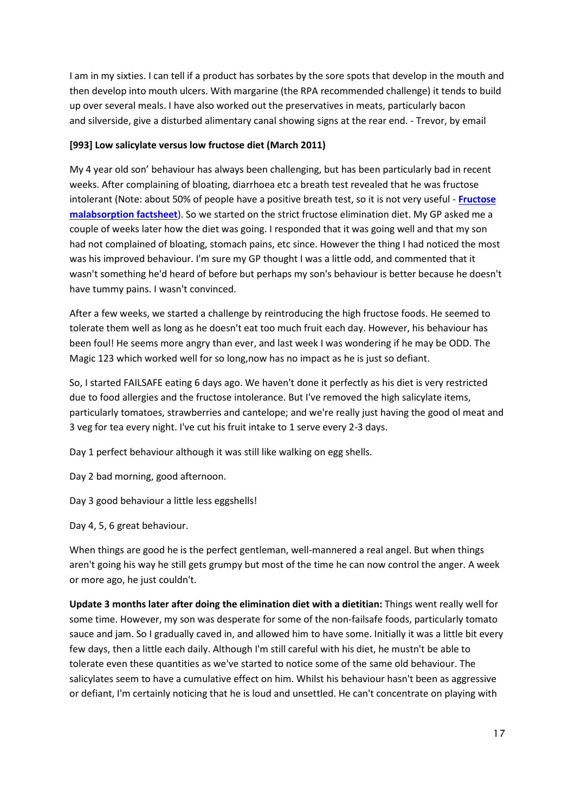I am in my sixties. I can tell if a product has sorbates by the sore spots that develop in the mouth and then develop into mouth ulcers. With margarine (the RPA recommended challenge) it tends to build up over several meals. I have also worked out the preservatives in meats, particularly bacon and silverside, give a disturbed alimentary canal showing signs at the rear end. - Trevor, by email

#### **[993] Low salicylate versus low fructose diet (March 2011)**

My 4 year old son' behaviour has always been challenging, but has been particularly bad in recent weeks. After complaining of bloating, diarrhoea etc a breath test revealed that he was fructose intolerant (Note: about 50% of people have a positive breath test, so it is not very useful - **[Fructose](https://www.fedup.com.au/factsheets/additive-and-natural-chemical-factsheets/fructose-malabsorption)  [malabsorption factsheet](https://www.fedup.com.au/factsheets/additive-and-natural-chemical-factsheets/fructose-malabsorption)**). So we started on the strict fructose elimination diet. My GP asked me a couple of weeks later how the diet was going. I responded that it was going well and that my son had not complained of bloating, stomach pains, etc since. However the thing I had noticed the most was his improved behaviour. I'm sure my GP thought I was a little odd, and commented that it wasn't something he'd heard of before but perhaps my son's behaviour is better because he doesn't have tummy pains. I wasn't convinced.

After a few weeks, we started a challenge by reintroducing the high fructose foods. He seemed to tolerate them well as long as he doesn't eat too much fruit each day. However, his behaviour has been foul! He seems more angry than ever, and last week I was wondering if he may be ODD. The Magic 123 which worked well for so long,now has no impact as he is just so defiant.

So, I started FAILSAFE eating 6 days ago. We haven't done it perfectly as his diet is very restricted due to food allergies and the fructose intolerance. But I've removed the high salicylate items, particularly tomatoes, strawberries and cantelope; and we're really just having the good ol meat and 3 veg for tea every night. I've cut his fruit intake to 1 serve every 2-3 days.

Day 1 perfect behaviour although it was still like walking on egg shells.

Day 2 bad morning, good afternoon.

Day 3 good behaviour a little less eggshells!

Day 4, 5, 6 great behaviour.

When things are good he is the perfect gentleman, well-mannered a real angel. But when things aren't going his way he still gets grumpy but most of the time he can now control the anger. A week or more ago, he just couldn't.

**Update 3 months later after doing the elimination diet with a dietitian:** Things went really well for some time. However, my son was desperate for some of the non-failsafe foods, particularly tomato sauce and jam. So I gradually caved in, and allowed him to have some. Initially it was a little bit every few days, then a little each daily. Although I'm still careful with his diet, he mustn't be able to tolerate even these quantities as we've started to notice some of the same old behaviour. The salicylates seem to have a cumulative effect on him. Whilst his behaviour hasn't been as aggressive or defiant, I'm certainly noticing that he is loud and unsettled. He can't concentrate on playing with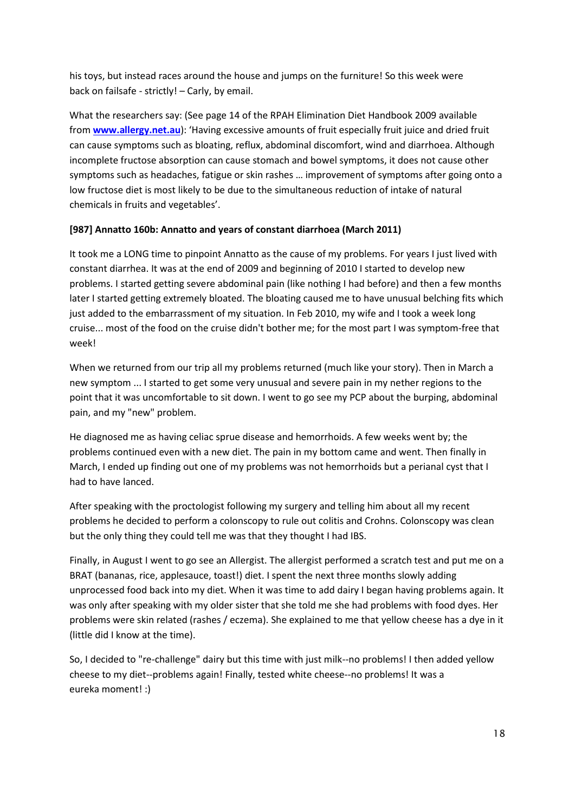his toys, but instead races around the house and jumps on the furniture! So this week were back on failsafe - strictly! – Carly, by email.

What the researchers say: (See page 14 of the RPAH Elimination Diet Handbook 2009 available from **[www.allergy.net.au](http://www.allergy.net.au/)**): 'Having excessive amounts of fruit especially fruit juice and dried fruit can cause symptoms such as bloating, reflux, abdominal discomfort, wind and diarrhoea. Although incomplete fructose absorption can cause stomach and bowel symptoms, it does not cause other symptoms such as headaches, fatigue or skin rashes … improvement of symptoms after going onto a low fructose diet is most likely to be due to the simultaneous reduction of intake of natural chemicals in fruits and vegetables'.

#### **[987] Annatto 160b: Annatto and years of constant diarrhoea (March 2011)**

It took me a LONG time to pinpoint Annatto as the cause of my problems. For years I just lived with constant diarrhea. It was at the end of 2009 and beginning of 2010 I started to develop new problems. I started getting severe abdominal pain (like nothing I had before) and then a few months later I started getting extremely bloated. The bloating caused me to have unusual belching fits which just added to the embarrassment of my situation. In Feb 2010, my wife and I took a week long cruise... most of the food on the cruise didn't bother me; for the most part I was symptom-free that week!

When we returned from our trip all my problems returned (much like your story). Then in March a new symptom ... I started to get some very unusual and severe pain in my nether regions to the point that it was uncomfortable to sit down. I went to go see my PCP about the burping, abdominal pain, and my "new" problem.

He diagnosed me as having celiac sprue disease and hemorrhoids. A few weeks went by; the problems continued even with a new diet. The pain in my bottom came and went. Then finally in March, I ended up finding out one of my problems was not hemorrhoids but a perianal cyst that I had to have lanced.

After speaking with the proctologist following my surgery and telling him about all my recent problems he decided to perform a colonscopy to rule out colitis and Crohns. Colonscopy was clean but the only thing they could tell me was that they thought I had IBS.

Finally, in August I went to go see an Allergist. The allergist performed a scratch test and put me on a BRAT (bananas, rice, applesauce, toast!) diet. I spent the next three months slowly adding unprocessed food back into my diet. When it was time to add dairy I began having problems again. It was only after speaking with my older sister that she told me she had problems with food dyes. Her problems were skin related (rashes / eczema). She explained to me that yellow cheese has a dye in it (little did I know at the time).

So, I decided to "re-challenge" dairy but this time with just milk--no problems! I then added yellow cheese to my diet--problems again! Finally, tested white cheese--no problems! It was a eureka moment! :)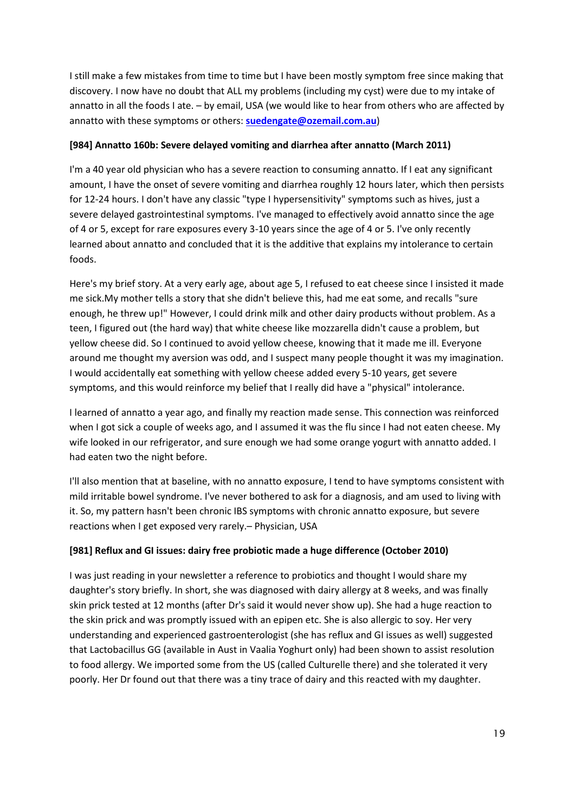I still make a few mistakes from time to time but I have been mostly symptom free since making that discovery. I now have no doubt that ALL my problems (including my cyst) were due to my intake of annatto in all the foods I ate. – by email, USA (we would like to hear from others who are affected by annatto with these symptoms or others: **[suedengate@ozemail.com.au](mailto:suedengate@ozemail.com.au)**)

#### **[984] Annatto 160b: Severe delayed vomiting and diarrhea after annatto (March 2011)**

I'm a 40 year old physician who has a severe reaction to consuming annatto. If I eat any significant amount, I have the onset of severe vomiting and diarrhea roughly 12 hours later, which then persists for 12-24 hours. I don't have any classic "type I hypersensitivity" symptoms such as hives, just a severe delayed gastrointestinal symptoms. I've managed to effectively avoid annatto since the age of 4 or 5, except for rare exposures every 3-10 years since the age of 4 or 5. I've only recently learned about annatto and concluded that it is the additive that explains my intolerance to certain foods.

Here's my brief story. At a very early age, about age 5, I refused to eat cheese since I insisted it made me sick.My mother tells a story that she didn't believe this, had me eat some, and recalls "sure enough, he threw up!" However, I could drink milk and other dairy products without problem. As a teen, I figured out (the hard way) that white cheese like mozzarella didn't cause a problem, but yellow cheese did. So I continued to avoid yellow cheese, knowing that it made me ill. Everyone around me thought my aversion was odd, and I suspect many people thought it was my imagination. I would accidentally eat something with yellow cheese added every 5-10 years, get severe symptoms, and this would reinforce my belief that I really did have a "physical" intolerance.

I learned of annatto a year ago, and finally my reaction made sense. This connection was reinforced when I got sick a couple of weeks ago, and I assumed it was the flu since I had not eaten cheese. My wife looked in our refrigerator, and sure enough we had some orange yogurt with annatto added. I had eaten two the night before.

I'll also mention that at baseline, with no annatto exposure, I tend to have symptoms consistent with mild irritable bowel syndrome. I've never bothered to ask for a diagnosis, and am used to living with it. So, my pattern hasn't been chronic IBS symptoms with chronic annatto exposure, but severe reactions when I get exposed very rarely.– Physician, USA

# **[981] Reflux and GI issues: dairy free probiotic made a huge difference (October 2010)**

I was just reading in your newsletter a reference to probiotics and thought I would share my daughter's story briefly. In short, she was diagnosed with dairy allergy at 8 weeks, and was finally skin prick tested at 12 months (after Dr's said it would never show up). She had a huge reaction to the skin prick and was promptly issued with an epipen etc. She is also allergic to soy. Her very understanding and experienced gastroenterologist (she has reflux and GI issues as well) suggested that Lactobacillus GG (available in Aust in Vaalia Yoghurt only) had been shown to assist resolution to food allergy. We imported some from the US (called Culturelle there) and she tolerated it very poorly. Her Dr found out that there was a tiny trace of dairy and this reacted with my daughter.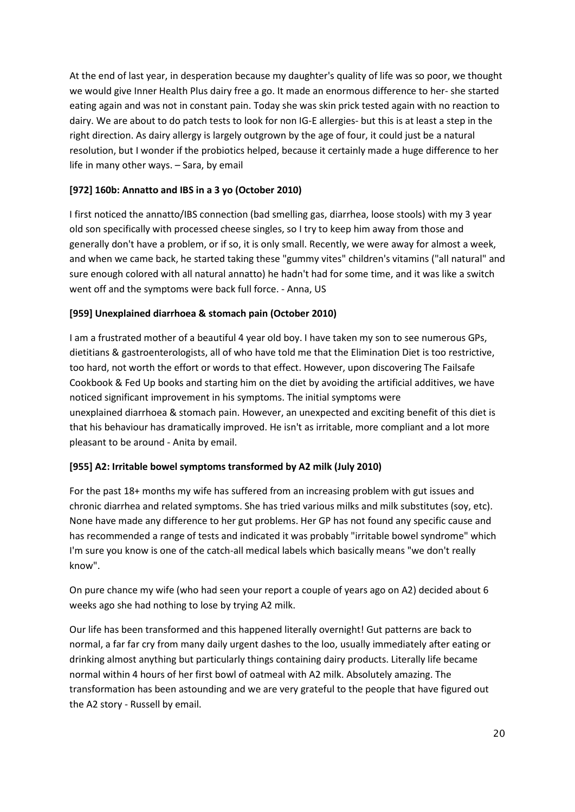At the end of last year, in desperation because my daughter's quality of life was so poor, we thought we would give Inner Health Plus dairy free a go. It made an enormous difference to her- she started eating again and was not in constant pain. Today she was skin prick tested again with no reaction to dairy. We are about to do patch tests to look for non IG-E allergies- but this is at least a step in the right direction. As dairy allergy is largely outgrown by the age of four, it could just be a natural resolution, but I wonder if the probiotics helped, because it certainly made a huge difference to her life in many other ways. – Sara, by email

### **[972] 160b: Annatto and IBS in a 3 yo (October 2010)**

I first noticed the annatto/IBS connection (bad smelling gas, diarrhea, loose stools) with my 3 year old son specifically with processed cheese singles, so I try to keep him away from those and generally don't have a problem, or if so, it is only small. Recently, we were away for almost a week, and when we came back, he started taking these "gummy vites" children's vitamins ("all natural" and sure enough colored with all natural annatto) he hadn't had for some time, and it was like a switch went off and the symptoms were back full force. - Anna, US

### **[959] Unexplained diarrhoea & stomach pain (October 2010)**

I am a frustrated mother of a beautiful 4 year old boy. I have taken my son to see numerous GPs, dietitians & gastroenterologists, all of who have told me that the Elimination Diet is too restrictive, too hard, not worth the effort or words to that effect. However, upon discovering The Failsafe Cookbook & Fed Up books and starting him on the diet by avoiding the artificial additives, we have noticed significant improvement in his symptoms. The initial symptoms were unexplained diarrhoea & stomach pain. However, an unexpected and exciting benefit of this diet is that his behaviour has dramatically improved. He isn't as irritable, more compliant and a lot more pleasant to be around - Anita by email.

#### **[955] A2: Irritable bowel symptoms transformed by A2 milk (July 2010)**

For the past 18+ months my wife has suffered from an increasing problem with gut issues and chronic diarrhea and related symptoms. She has tried various milks and milk substitutes (soy, etc). None have made any difference to her gut problems. Her GP has not found any specific cause and has recommended a range of tests and indicated it was probably "irritable bowel syndrome" which I'm sure you know is one of the catch-all medical labels which basically means "we don't really know".

On pure chance my wife (who had seen your report a couple of years ago on A2) decided about 6 weeks ago she had nothing to lose by trying A2 milk.

Our life has been transformed and this happened literally overnight! Gut patterns are back to normal, a far far cry from many daily urgent dashes to the loo, usually immediately after eating or drinking almost anything but particularly things containing dairy products. Literally life became normal within 4 hours of her first bowl of oatmeal with A2 milk. Absolutely amazing. The transformation has been astounding and we are very grateful to the people that have figured out the A2 story - Russell by email.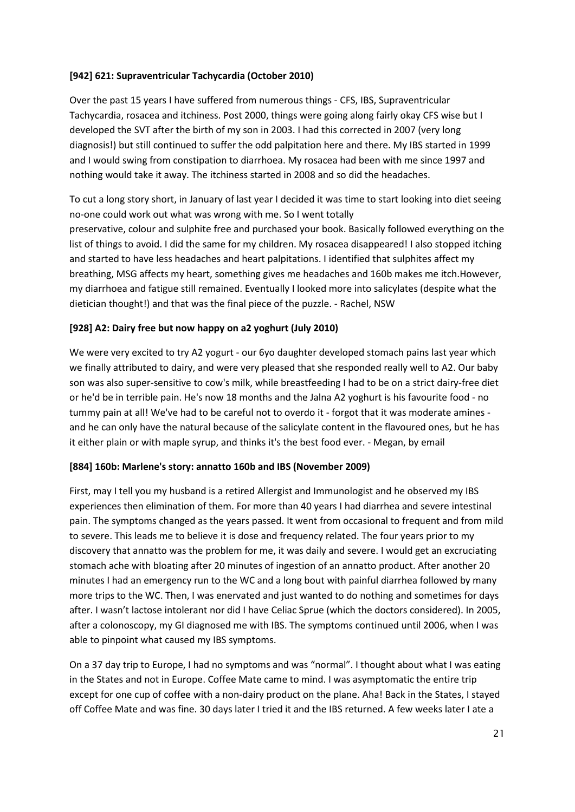#### **[942] 621: Supraventricular Tachycardia (October 2010)**

Over the past 15 years I have suffered from numerous things - CFS, IBS, Supraventricular Tachycardia, rosacea and itchiness. Post 2000, things were going along fairly okay CFS wise but I developed the SVT after the birth of my son in 2003. I had this corrected in 2007 (very long diagnosis!) but still continued to suffer the odd palpitation here and there. My IBS started in 1999 and I would swing from constipation to diarrhoea. My rosacea had been with me since 1997 and nothing would take it away. The itchiness started in 2008 and so did the headaches.

To cut a long story short, in January of last year I decided it was time to start looking into diet seeing no-one could work out what was wrong with me. So I went totally

preservative, colour and sulphite free and purchased your book. Basically followed everything on the list of things to avoid. I did the same for my children. My rosacea disappeared! I also stopped itching and started to have less headaches and heart palpitations. I identified that sulphites affect my breathing, MSG affects my heart, something gives me headaches and 160b makes me itch.However, my diarrhoea and fatigue still remained. Eventually I looked more into salicylates (despite what the dietician thought!) and that was the final piece of the puzzle. - Rachel, NSW

#### **[928] A2: Dairy free but now happy on a2 yoghurt (July 2010)**

We were very excited to try A2 yogurt - our 6yo daughter developed stomach pains last year which we finally attributed to dairy, and were very pleased that she responded really well to A2. Our baby son was also super-sensitive to cow's milk, while breastfeeding I had to be on a strict dairy-free diet or he'd be in terrible pain. He's now 18 months and the Jalna A2 yoghurt is his favourite food - no tummy pain at all! We've had to be careful not to overdo it - forgot that it was moderate amines and he can only have the natural because of the salicylate content in the flavoured ones, but he has it either plain or with maple syrup, and thinks it's the best food ever. - Megan, by email

#### **[884] 160b: Marlene's story: annatto 160b and IBS (November 2009)**

First, may I tell you my husband is a retired Allergist and Immunologist and he observed my IBS experiences then elimination of them. For more than 40 years I had diarrhea and severe intestinal pain. The symptoms changed as the years passed. It went from occasional to frequent and from mild to severe. This leads me to believe it is dose and frequency related. The four years prior to my discovery that annatto was the problem for me, it was daily and severe. I would get an excruciating stomach ache with bloating after 20 minutes of ingestion of an annatto product. After another 20 minutes I had an emergency run to the WC and a long bout with painful diarrhea followed by many more trips to the WC. Then, I was enervated and just wanted to do nothing and sometimes for days after. I wasn't lactose intolerant nor did I have Celiac Sprue (which the doctors considered). In 2005, after a colonoscopy, my GI diagnosed me with IBS. The symptoms continued until 2006, when I was able to pinpoint what caused my IBS symptoms.

On a 37 day trip to Europe, I had no symptoms and was "normal". I thought about what I was eating in the States and not in Europe. Coffee Mate came to mind. I was asymptomatic the entire trip except for one cup of coffee with a non-dairy product on the plane. Aha! Back in the States, I stayed off Coffee Mate and was fine. 30 days later I tried it and the IBS returned. A few weeks later I ate a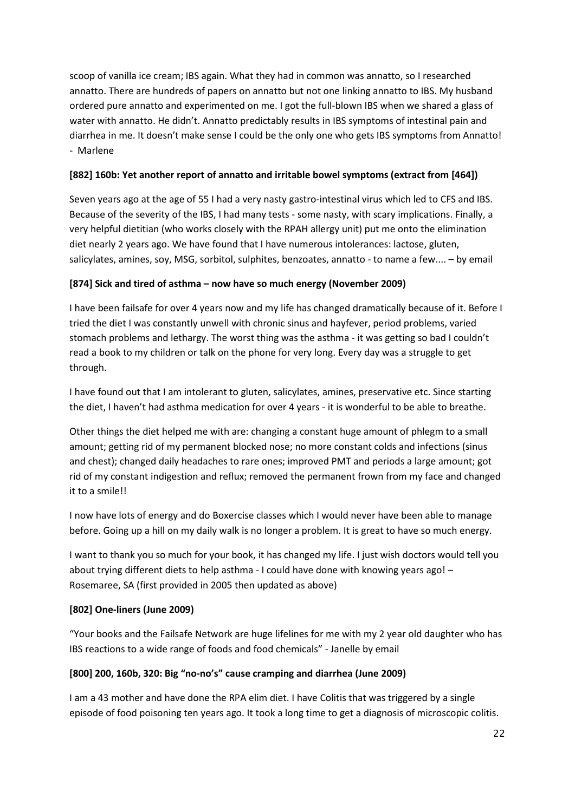scoop of vanilla ice cream; IBS again. What they had in common was annatto, so I researched annatto. There are hundreds of papers on annatto but not one linking annatto to IBS. My husband ordered pure annatto and experimented on me. I got the full-blown IBS when we shared a glass of water with annatto. He didn't. Annatto predictably results in IBS symptoms of intestinal pain and diarrhea in me. It doesn't make sense I could be the only one who gets IBS symptoms from Annatto! - Marlene

#### **[882] 160b: Yet another report of annatto and irritable bowel symptoms (extract from [464])**

Seven years ago at the age of 55 I had a very nasty gastro-intestinal virus which led to CFS and IBS. Because of the severity of the IBS, I had many tests - some nasty, with scary implications. Finally, a very helpful dietitian (who works closely with the RPAH allergy unit) put me onto the elimination diet nearly 2 years ago. We have found that I have numerous intolerances: lactose, gluten, salicylates, amines, soy, MSG, sorbitol, sulphites, benzoates, annatto - to name a few.... – by email

### **[874] Sick and tired of asthma – now have so much energy (November 2009)**

I have been failsafe for over 4 years now and my life has changed dramatically because of it. Before I tried the diet I was constantly unwell with chronic sinus and hayfever, period problems, varied stomach problems and lethargy. The worst thing was the asthma - it was getting so bad I couldn't read a book to my children or talk on the phone for very long. Every day was a struggle to get through.

I have found out that I am intolerant to gluten, salicylates, amines, preservative etc. Since starting the diet, I haven't had asthma medication for over 4 years - it is wonderful to be able to breathe.

Other things the diet helped me with are: changing a constant huge amount of phlegm to a small amount; getting rid of my permanent blocked nose; no more constant colds and infections (sinus and chest); changed daily headaches to rare ones; improved PMT and periods a large amount; got rid of my constant indigestion and reflux; removed the permanent frown from my face and changed it to a smile!!

I now have lots of energy and do Boxercise classes which I would never have been able to manage before. Going up a hill on my daily walk is no longer a problem. It is great to have so much energy.

I want to thank you so much for your book, it has changed my life. I just wish doctors would tell you about trying different diets to help asthma - I could have done with knowing years ago! – Rosemaree, SA (first provided in 2005 then updated as above)

# **[802] One-liners (June 2009)**

"Your books and the Failsafe Network are huge lifelines for me with my 2 year old daughter who has IBS reactions to a wide range of foods and food chemicals" - Janelle by email

# **[800] 200, 160b, 320: Big "no-no's" cause cramping and diarrhea (June 2009)**

I am a 43 mother and have done the RPA elim diet. I have Colitis that was triggered by a single episode of food poisoning ten years ago. It took a long time to get a diagnosis of microscopic colitis.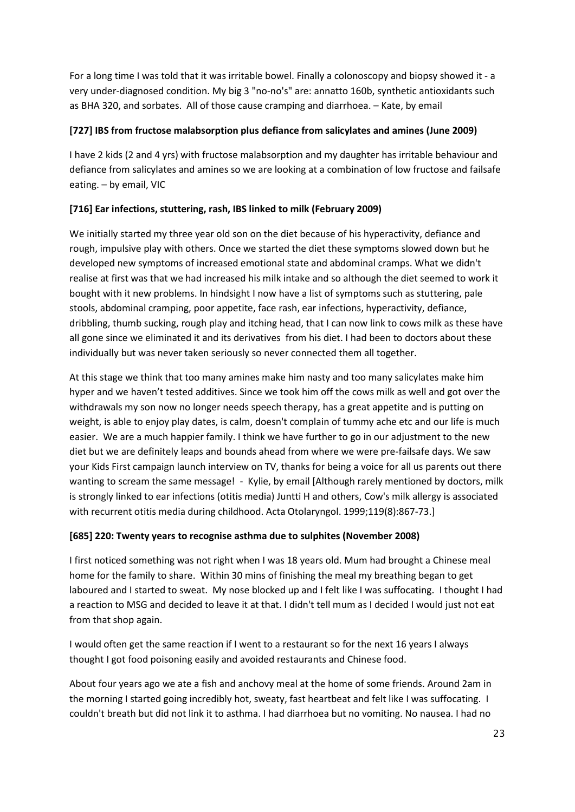For a long time I was told that it was irritable bowel. Finally a colonoscopy and biopsy showed it - a very under-diagnosed condition. My big 3 "no-no's" are: annatto 160b, synthetic antioxidants such as BHA 320, and sorbates. All of those cause cramping and diarrhoea. – Kate, by email

#### **[727] IBS from fructose malabsorption plus defiance from salicylates and amines (June 2009)**

I have 2 kids (2 and 4 yrs) with fructose malabsorption and my daughter has irritable behaviour and defiance from salicylates and amines so we are looking at a combination of low fructose and failsafe eating. – by email, VIC

# **[716] Ear infections, stuttering, rash, IBS linked to milk (February 2009)**

We initially started my three year old son on the diet because of his hyperactivity, defiance and rough, impulsive play with others. Once we started the diet these symptoms slowed down but he developed new symptoms of increased emotional state and abdominal cramps. What we didn't realise at first was that we had increased his milk intake and so although the diet seemed to work it bought with it new problems. In hindsight I now have a list of symptoms such as stuttering, pale stools, abdominal cramping, poor appetite, face rash, ear infections, hyperactivity, defiance, dribbling, thumb sucking, rough play and itching head, that I can now link to cows milk as these have all gone since we eliminated it and its derivatives from his diet. I had been to doctors about these individually but was never taken seriously so never connected them all together.

At this stage we think that too many amines make him nasty and too many salicylates make him hyper and we haven't tested additives. Since we took him off the cows milk as well and got over the withdrawals my son now no longer needs speech therapy, has a great appetite and is putting on weight, is able to enjoy play dates, is calm, doesn't complain of tummy ache etc and our life is much easier. We are a much happier family. I think we have further to go in our adjustment to the new diet but we are definitely leaps and bounds ahead from where we were pre-failsafe days. We saw your Kids First campaign launch interview on TV, thanks for being a voice for all us parents out there wanting to scream the same message! - Kylie, by email [Although rarely mentioned by doctors, milk is strongly linked to ear infections (otitis media) Juntti H and others, Cow's milk allergy is associated with recurrent otitis media during childhood. Acta Otolaryngol. 1999;119(8):867-73.]

#### **[685] 220: Twenty years to recognise asthma due to sulphites (November 2008)**

I first noticed something was not right when I was 18 years old. Mum had brought a Chinese meal home for the family to share. Within 30 mins of finishing the meal my breathing began to get laboured and I started to sweat. My nose blocked up and I felt like I was suffocating. I thought I had a reaction to MSG and decided to leave it at that. I didn't tell mum as I decided I would just not eat from that shop again.

I would often get the same reaction if I went to a restaurant so for the next 16 years I always thought I got food poisoning easily and avoided restaurants and Chinese food.

About four years ago we ate a fish and anchovy meal at the home of some friends. Around 2am in the morning I started going incredibly hot, sweaty, fast heartbeat and felt like I was suffocating. I couldn't breath but did not link it to asthma. I had diarrhoea but no vomiting. No nausea. I had no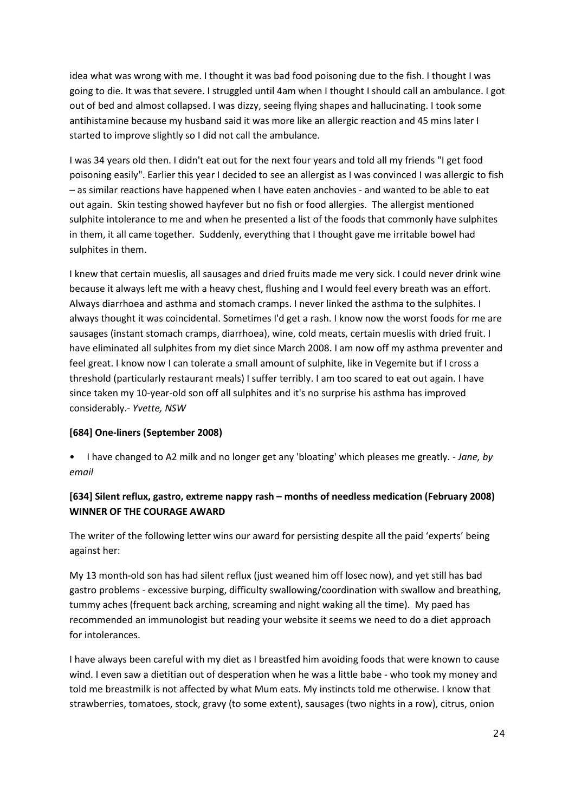idea what was wrong with me. I thought it was bad food poisoning due to the fish. I thought I was going to die. It was that severe. I struggled until 4am when I thought I should call an ambulance. I got out of bed and almost collapsed. I was dizzy, seeing flying shapes and hallucinating. I took some antihistamine because my husband said it was more like an allergic reaction and 45 mins later I started to improve slightly so I did not call the ambulance.

I was 34 years old then. I didn't eat out for the next four years and told all my friends "I get food poisoning easily". Earlier this year I decided to see an allergist as I was convinced I was allergic to fish – as similar reactions have happened when I have eaten anchovies - and wanted to be able to eat out again. Skin testing showed hayfever but no fish or food allergies. The allergist mentioned sulphite intolerance to me and when he presented a list of the foods that commonly have sulphites in them, it all came together. Suddenly, everything that I thought gave me irritable bowel had sulphites in them.

I knew that certain mueslis, all sausages and dried fruits made me very sick. I could never drink wine because it always left me with a heavy chest, flushing and I would feel every breath was an effort. Always diarrhoea and asthma and stomach cramps. I never linked the asthma to the sulphites. I always thought it was coincidental. Sometimes I'd get a rash. I know now the worst foods for me are sausages (instant stomach cramps, diarrhoea), wine, cold meats, certain mueslis with dried fruit. I have eliminated all sulphites from my diet since March 2008. I am now off my asthma preventer and feel great. I know now I can tolerate a small amount of sulphite, like in Vegemite but if I cross a threshold (particularly restaurant meals) I suffer terribly. I am too scared to eat out again. I have since taken my 10-year-old son off all sulphites and it's no surprise his asthma has improved considerably.- *Yvette, NSW*

#### **[684] One-liners (September 2008)**

• I have changed to A2 milk and no longer get any 'bloating' which pleases me greatly. - *Jane, by email*

### **[634] Silent reflux, gastro, extreme nappy rash – months of needless medication (February 2008) WINNER OF THE COURAGE AWARD**

The writer of the following letter wins our award for persisting despite all the paid 'experts' being against her:

My 13 month-old son has had silent reflux (just weaned him off losec now), and yet still has bad gastro problems - excessive burping, difficulty swallowing/coordination with swallow and breathing, tummy aches (frequent back arching, screaming and night waking all the time). My paed has recommended an immunologist but reading your website it seems we need to do a diet approach for intolerances.

I have always been careful with my diet as I breastfed him avoiding foods that were known to cause wind. I even saw a dietitian out of desperation when he was a little babe - who took my money and told me breastmilk is not affected by what Mum eats. My instincts told me otherwise. I know that strawberries, tomatoes, stock, gravy (to some extent), sausages (two nights in a row), citrus, onion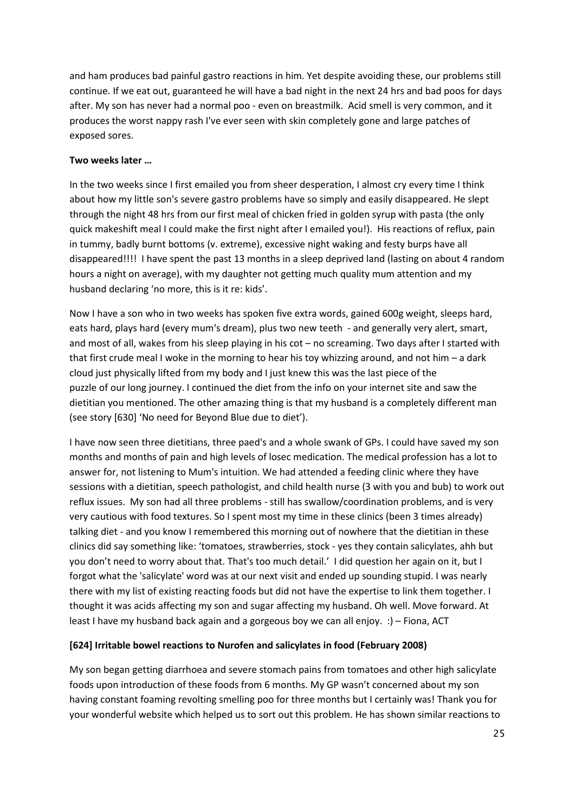and ham produces bad painful gastro reactions in him. Yet despite avoiding these, our problems still continue. If we eat out, guaranteed he will have a bad night in the next 24 hrs and bad poos for days after. My son has never had a normal poo - even on breastmilk. Acid smell is very common, and it produces the worst nappy rash I've ever seen with skin completely gone and large patches of exposed sores.

#### **Two weeks later …**

In the two weeks since I first emailed you from sheer desperation, I almost cry every time I think about how my little son's severe gastro problems have so simply and easily disappeared. He slept through the night 48 hrs from our first meal of chicken fried in golden syrup with pasta (the only quick makeshift meal I could make the first night after I emailed you!). His reactions of reflux, pain in tummy, badly burnt bottoms (v. extreme), excessive night waking and festy burps have all disappeared!!!! I have spent the past 13 months in a sleep deprived land (lasting on about 4 random hours a night on average), with my daughter not getting much quality mum attention and my husband declaring 'no more, this is it re: kids'.

Now I have a son who in two weeks has spoken five extra words, gained 600g weight, sleeps hard, eats hard, plays hard (every mum's dream), plus two new teeth - and generally very alert, smart, and most of all, wakes from his sleep playing in his cot – no screaming. Two days after I started with that first crude meal I woke in the morning to hear his toy whizzing around, and not him – a dark cloud just physically lifted from my body and I just knew this was the last piece of the puzzle of our long journey. I continued the diet from the info on your internet site and saw the dietitian you mentioned. The other amazing thing is that my husband is a completely different man (see story [630] 'No need for Beyond Blue due to diet').

I have now seen three dietitians, three paed's and a whole swank of GPs. I could have saved my son months and months of pain and high levels of losec medication. The medical profession has a lot to answer for, not listening to Mum's intuition. We had attended a feeding clinic where they have sessions with a dietitian, speech pathologist, and child health nurse (3 with you and bub) to work out reflux issues. My son had all three problems - still has swallow/coordination problems, and is very very cautious with food textures. So I spent most my time in these clinics (been 3 times already) talking diet - and you know I remembered this morning out of nowhere that the dietitian in these clinics did say something like: 'tomatoes, strawberries, stock - yes they contain salicylates, ahh but you don't need to worry about that. That's too much detail.' I did question her again on it, but I forgot what the 'salicylate' word was at our next visit and ended up sounding stupid. I was nearly there with my list of existing reacting foods but did not have the expertise to link them together. I thought it was acids affecting my son and sugar affecting my husband. Oh well. Move forward. At least I have my husband back again and a gorgeous boy we can all enjoy. :) – Fiona, ACT

#### **[624] Irritable bowel reactions to Nurofen and salicylates in food (February 2008)**

My son began getting diarrhoea and severe stomach pains from tomatoes and other high salicylate foods upon introduction of these foods from 6 months. My GP wasn't concerned about my son having constant foaming revolting smelling poo for three months but I certainly was! Thank you for your wonderful website which helped us to sort out this problem. He has shown similar reactions to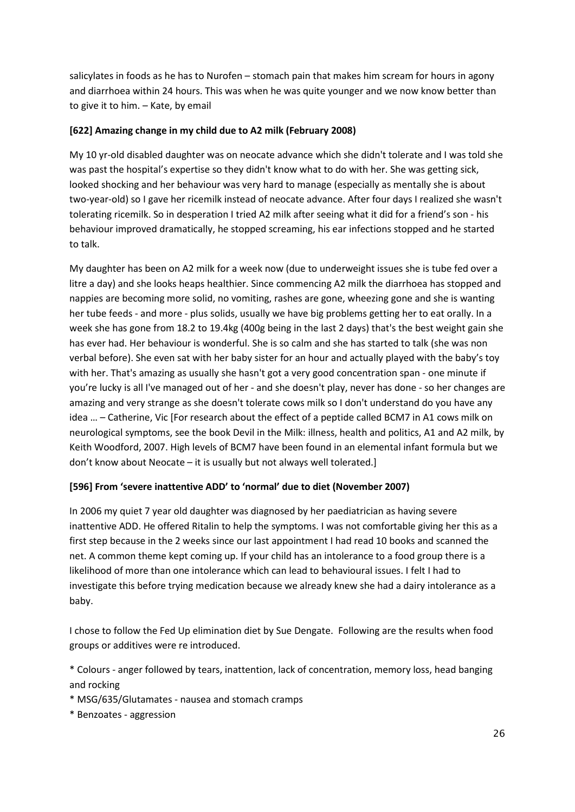salicylates in foods as he has to Nurofen – stomach pain that makes him scream for hours in agony and diarrhoea within 24 hours. This was when he was quite younger and we now know better than to give it to him. – Kate, by email

#### **[622] Amazing change in my child due to A2 milk (February 2008)**

My 10 yr-old disabled daughter was on neocate advance which she didn't tolerate and I was told she was past the hospital's expertise so they didn't know what to do with her. She was getting sick, looked shocking and her behaviour was very hard to manage (especially as mentally she is about two-year-old) so I gave her ricemilk instead of neocate advance. After four days I realized she wasn't tolerating ricemilk. So in desperation I tried A2 milk after seeing what it did for a friend's son - his behaviour improved dramatically, he stopped screaming, his ear infections stopped and he started to talk.

My daughter has been on A2 milk for a week now (due to underweight issues she is tube fed over a litre a day) and she looks heaps healthier. Since commencing A2 milk the diarrhoea has stopped and nappies are becoming more solid, no vomiting, rashes are gone, wheezing gone and she is wanting her tube feeds - and more - plus solids, usually we have big problems getting her to eat orally. In a week she has gone from 18.2 to 19.4kg (400g being in the last 2 days) that's the best weight gain she has ever had. Her behaviour is wonderful. She is so calm and she has started to talk (she was non verbal before). She even sat with her baby sister for an hour and actually played with the baby's toy with her. That's amazing as usually she hasn't got a very good concentration span - one minute if you're lucky is all I've managed out of her - and she doesn't play, never has done - so her changes are amazing and very strange as she doesn't tolerate cows milk so I don't understand do you have any idea … – Catherine, Vic [For research about the effect of a peptide called BCM7 in A1 cows milk on neurological symptoms, see the book Devil in the Milk: illness, health and politics, A1 and A2 milk, by Keith Woodford, 2007. High levels of BCM7 have been found in an elemental infant formula but we don't know about Neocate – it is usually but not always well tolerated.]

# **[596] From 'severe inattentive ADD' to 'normal' due to diet (November 2007)**

In 2006 my quiet 7 year old daughter was diagnosed by her paediatrician as having severe inattentive ADD. He offered Ritalin to help the symptoms. I was not comfortable giving her this as a first step because in the 2 weeks since our last appointment I had read 10 books and scanned the net. A common theme kept coming up. If your child has an intolerance to a food group there is a likelihood of more than one intolerance which can lead to behavioural issues. I felt I had to investigate this before trying medication because we already knew she had a dairy intolerance as a baby.

I chose to follow the Fed Up elimination diet by Sue Dengate. Following are the results when food groups or additives were re introduced.

\* Colours - anger followed by tears, inattention, lack of concentration, memory loss, head banging and rocking

- \* MSG/635/Glutamates nausea and stomach cramps
- \* Benzoates aggression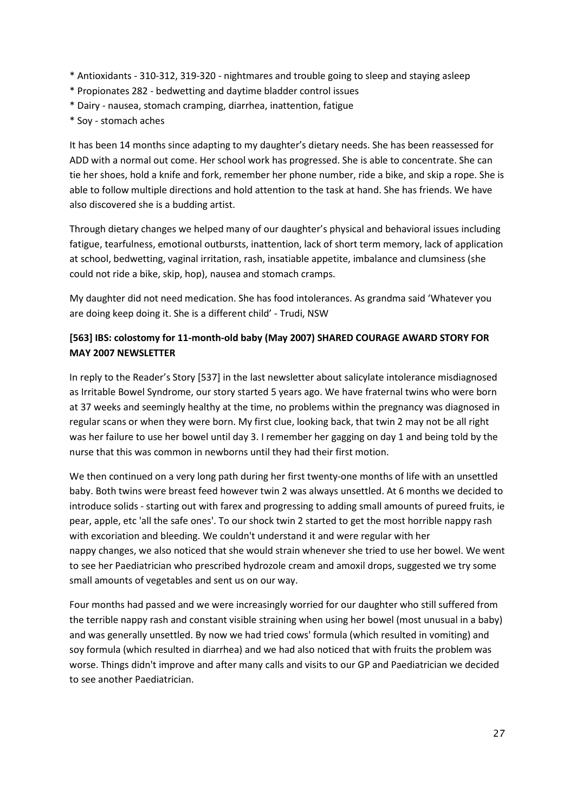- \* Antioxidants 310-312, 319-320 nightmares and trouble going to sleep and staying asleep
- \* Propionates 282 bedwetting and daytime bladder control issues
- \* Dairy nausea, stomach cramping, diarrhea, inattention, fatigue
- \* Soy stomach aches

It has been 14 months since adapting to my daughter's dietary needs. She has been reassessed for ADD with a normal out come. Her school work has progressed. She is able to concentrate. She can tie her shoes, hold a knife and fork, remember her phone number, ride a bike, and skip a rope. She is able to follow multiple directions and hold attention to the task at hand. She has friends. We have also discovered she is a budding artist.

Through dietary changes we helped many of our daughter's physical and behavioral issues including fatigue, tearfulness, emotional outbursts, inattention, lack of short term memory, lack of application at school, bedwetting, vaginal irritation, rash, insatiable appetite, imbalance and clumsiness (she could not ride a bike, skip, hop), nausea and stomach cramps.

My daughter did not need medication. She has food intolerances. As grandma said 'Whatever you are doing keep doing it. She is a different child' - Trudi, NSW

### **[563] IBS: colostomy for 11-month-old baby (May 2007) SHARED COURAGE AWARD STORY FOR MAY 2007 NEWSLETTER**

In reply to the Reader's Story [537] in the last newsletter about salicylate intolerance misdiagnosed as Irritable Bowel Syndrome, our story started 5 years ago. We have fraternal twins who were born at 37 weeks and seemingly healthy at the time, no problems within the pregnancy was diagnosed in regular scans or when they were born. My first clue, looking back, that twin 2 may not be all right was her failure to use her bowel until day 3. I remember her gagging on day 1 and being told by the nurse that this was common in newborns until they had their first motion.

We then continued on a very long path during her first twenty-one months of life with an unsettled baby. Both twins were breast feed however twin 2 was always unsettled. At 6 months we decided to introduce solids - starting out with farex and progressing to adding small amounts of pureed fruits, ie pear, apple, etc 'all the safe ones'. To our shock twin 2 started to get the most horrible nappy rash with excoriation and bleeding. We couldn't understand it and were regular with her nappy changes, we also noticed that she would strain whenever she tried to use her bowel. We went to see her Paediatrician who prescribed hydrozole cream and amoxil drops, suggested we try some small amounts of vegetables and sent us on our way.

Four months had passed and we were increasingly worried for our daughter who still suffered from the terrible nappy rash and constant visible straining when using her bowel (most unusual in a baby) and was generally unsettled. By now we had tried cows' formula (which resulted in vomiting) and soy formula (which resulted in diarrhea) and we had also noticed that with fruits the problem was worse. Things didn't improve and after many calls and visits to our GP and Paediatrician we decided to see another Paediatrician.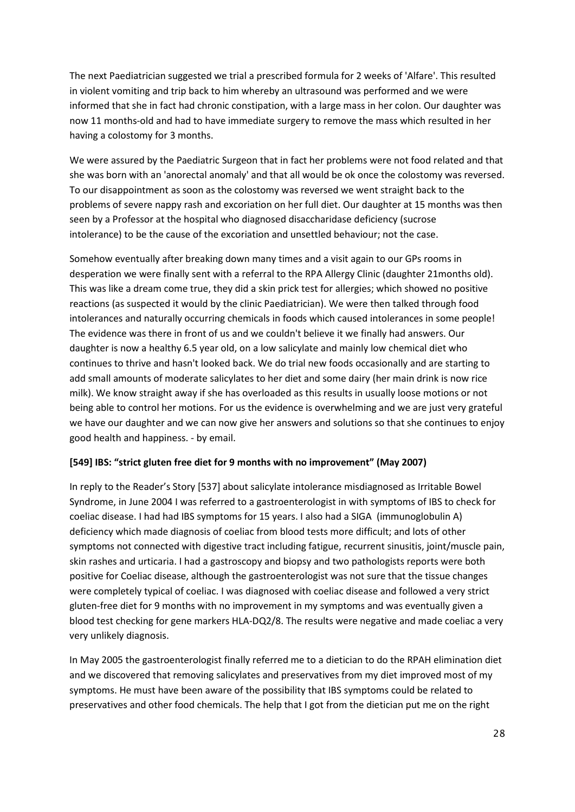The next Paediatrician suggested we trial a prescribed formula for 2 weeks of 'Alfare'. This resulted in violent vomiting and trip back to him whereby an ultrasound was performed and we were informed that she in fact had chronic constipation, with a large mass in her colon. Our daughter was now 11 months-old and had to have immediate surgery to remove the mass which resulted in her having a colostomy for 3 months.

We were assured by the Paediatric Surgeon that in fact her problems were not food related and that she was born with an 'anorectal anomaly' and that all would be ok once the colostomy was reversed. To our disappointment as soon as the colostomy was reversed we went straight back to the problems of severe nappy rash and excoriation on her full diet. Our daughter at 15 months was then seen by a Professor at the hospital who diagnosed disaccharidase deficiency (sucrose intolerance) to be the cause of the excoriation and unsettled behaviour; not the case.

Somehow eventually after breaking down many times and a visit again to our GPs rooms in desperation we were finally sent with a referral to the RPA Allergy Clinic (daughter 21months old). This was like a dream come true, they did a skin prick test for allergies; which showed no positive reactions (as suspected it would by the clinic Paediatrician). We were then talked through food intolerances and naturally occurring chemicals in foods which caused intolerances in some people! The evidence was there in front of us and we couldn't believe it we finally had answers. Our daughter is now a healthy 6.5 year old, on a low salicylate and mainly low chemical diet who continues to thrive and hasn't looked back. We do trial new foods occasionally and are starting to add small amounts of moderate salicylates to her diet and some dairy (her main drink is now rice milk). We know straight away if she has overloaded as this results in usually loose motions or not being able to control her motions. For us the evidence is overwhelming and we are just very grateful we have our daughter and we can now give her answers and solutions so that she continues to enjoy good health and happiness. - by email.

#### **[549] IBS: "strict gluten free diet for 9 months with no improvement" (May 2007)**

In reply to the Reader's Story [537] about salicylate intolerance misdiagnosed as Irritable Bowel Syndrome, in June 2004 I was referred to a gastroenterologist in with symptoms of IBS to check for coeliac disease. I had had IBS symptoms for 15 years. I also had a SIGA (immunoglobulin A) deficiency which made diagnosis of coeliac from blood tests more difficult; and lots of other symptoms not connected with digestive tract including fatigue, recurrent sinusitis, joint/muscle pain, skin rashes and urticaria. I had a gastroscopy and biopsy and two pathologists reports were both positive for Coeliac disease, although the gastroenterologist was not sure that the tissue changes were completely typical of coeliac. I was diagnosed with coeliac disease and followed a very strict gluten-free diet for 9 months with no improvement in my symptoms and was eventually given a blood test checking for gene markers HLA-DQ2/8. The results were negative and made coeliac a very very unlikely diagnosis.

In May 2005 the gastroenterologist finally referred me to a dietician to do the RPAH elimination diet and we discovered that removing salicylates and preservatives from my diet improved most of my symptoms. He must have been aware of the possibility that IBS symptoms could be related to preservatives and other food chemicals. The help that I got from the dietician put me on the right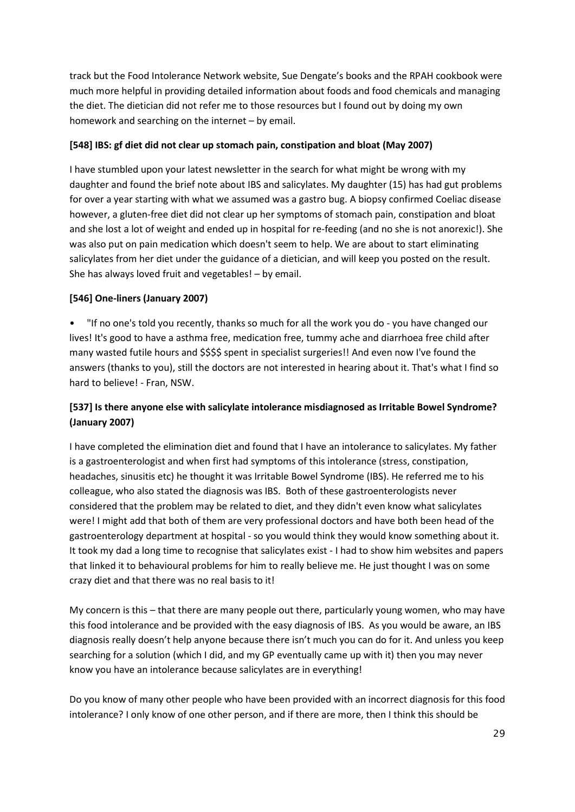track but the Food Intolerance Network website, Sue Dengate's books and the RPAH cookbook were much more helpful in providing detailed information about foods and food chemicals and managing the diet. The dietician did not refer me to those resources but I found out by doing my own homework and searching on the internet – by email.

#### **[548] IBS: gf diet did not clear up stomach pain, constipation and bloat (May 2007)**

I have stumbled upon your latest newsletter in the search for what might be wrong with my daughter and found the brief note about IBS and salicylates. My daughter (15) has had gut problems for over a year starting with what we assumed was a gastro bug. A biopsy confirmed Coeliac disease however, a gluten-free diet did not clear up her symptoms of stomach pain, constipation and bloat and she lost a lot of weight and ended up in hospital for re-feeding (and no she is not anorexic!). She was also put on pain medication which doesn't seem to help. We are about to start eliminating salicylates from her diet under the guidance of a dietician, and will keep you posted on the result. She has always loved fruit and vegetables! – by email.

### **[546] One-liners (January 2007)**

• "If no one's told you recently, thanks so much for all the work you do - you have changed our lives! It's good to have a asthma free, medication free, tummy ache and diarrhoea free child after many wasted futile hours and \$\$\$\$ spent in specialist surgeries!! And even now I've found the answers (thanks to you), still the doctors are not interested in hearing about it. That's what I find so hard to believe! - Fran, NSW.

# **[537] Is there anyone else with salicylate intolerance misdiagnosed as Irritable Bowel Syndrome? (January 2007)**

I have completed the elimination diet and found that I have an intolerance to salicylates. My father is a gastroenterologist and when first had symptoms of this intolerance (stress, constipation, headaches, sinusitis etc) he thought it was Irritable Bowel Syndrome (IBS). He referred me to his colleague, who also stated the diagnosis was IBS. Both of these gastroenterologists never considered that the problem may be related to diet, and they didn't even know what salicylates were! I might add that both of them are very professional doctors and have both been head of the gastroenterology department at hospital - so you would think they would know something about it. It took my dad a long time to recognise that salicylates exist - I had to show him websites and papers that linked it to behavioural problems for him to really believe me. He just thought I was on some crazy diet and that there was no real basis to it!

My concern is this – that there are many people out there, particularly young women, who may have this food intolerance and be provided with the easy diagnosis of IBS. As you would be aware, an IBS diagnosis really doesn't help anyone because there isn't much you can do for it. And unless you keep searching for a solution (which I did, and my GP eventually came up with it) then you may never know you have an intolerance because salicylates are in everything!

Do you know of many other people who have been provided with an incorrect diagnosis for this food intolerance? I only know of one other person, and if there are more, then I think this should be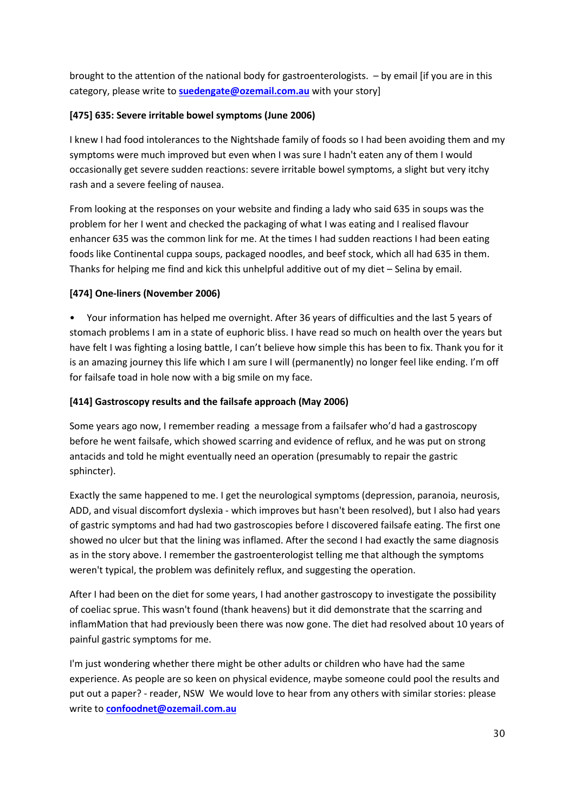brought to the attention of the national body for gastroenterologists. – by email [if you are in this category, please write to **[suedengate@ozemail.com.au](mailto:suedengate@ozemail.com.au)** with your story]

### **[475] 635: Severe irritable bowel symptoms (June 2006)**

I knew I had food intolerances to the Nightshade family of foods so I had been avoiding them and my symptoms were much improved but even when I was sure I hadn't eaten any of them I would occasionally get severe sudden reactions: severe irritable bowel symptoms, a slight but very itchy rash and a severe feeling of nausea.

From looking at the responses on your website and finding a lady who said 635 in soups was the problem for her I went and checked the packaging of what I was eating and I realised flavour enhancer 635 was the common link for me. At the times I had sudden reactions I had been eating foods like Continental cuppa soups, packaged noodles, and beef stock, which all had 635 in them. Thanks for helping me find and kick this unhelpful additive out of my diet – Selina by email.

#### **[474] One-liners (November 2006)**

• Your information has helped me overnight. After 36 years of difficulties and the last 5 years of stomach problems I am in a state of euphoric bliss. I have read so much on health over the years but have felt I was fighting a losing battle, I can't believe how simple this has been to fix. Thank you for it is an amazing journey this life which I am sure I will (permanently) no longer feel like ending. I'm off for failsafe toad in hole now with a big smile on my face.

### **[414] Gastroscopy results and the failsafe approach (May 2006)**

Some years ago now, I remember reading a message from a failsafer who'd had a gastroscopy before he went failsafe, which showed scarring and evidence of reflux, and he was put on strong antacids and told he might eventually need an operation (presumably to repair the gastric sphincter).

Exactly the same happened to me. I get the neurological symptoms (depression, paranoia, neurosis, ADD, and visual discomfort dyslexia - which improves but hasn't been resolved), but I also had years of gastric symptoms and had had two gastroscopies before I discovered failsafe eating. The first one showed no ulcer but that the lining was inflamed. After the second I had exactly the same diagnosis as in the story above. I remember the gastroenterologist telling me that although the symptoms weren't typical, the problem was definitely reflux, and suggesting the operation.

After I had been on the diet for some years, I had another gastroscopy to investigate the possibility of coeliac sprue. This wasn't found (thank heavens) but it did demonstrate that the scarring and inflamMation that had previously been there was now gone. The diet had resolved about 10 years of painful gastric symptoms for me.

I'm just wondering whether there might be other adults or children who have had the same experience. As people are so keen on physical evidence, maybe someone could pool the results and put out a paper? - reader, NSW We would love to hear from any others with similar stories: please write to **[confoodnet@ozemail.com.au](mailto:confoodnet@ozemail.com.au)**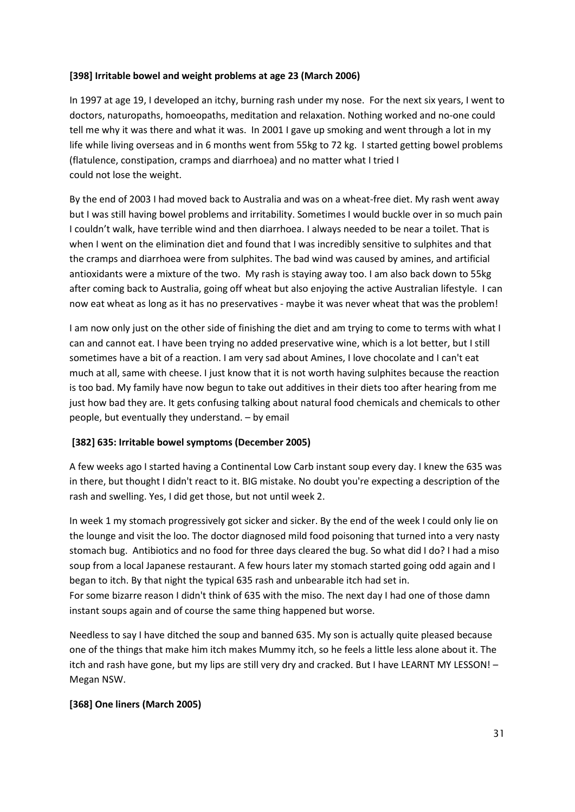#### **[398] Irritable bowel and weight problems at age 23 (March 2006)**

In 1997 at age 19, I developed an itchy, burning rash under my nose. For the next six years, I went to doctors, naturopaths, homoeopaths, meditation and relaxation. Nothing worked and no-one could tell me why it was there and what it was. In 2001 I gave up smoking and went through a lot in my life while living overseas and in 6 months went from 55kg to 72 kg. I started getting bowel problems (flatulence, constipation, cramps and diarrhoea) and no matter what I tried I could not lose the weight.

By the end of 2003 I had moved back to Australia and was on a wheat-free diet. My rash went away but I was still having bowel problems and irritability. Sometimes I would buckle over in so much pain I couldn't walk, have terrible wind and then diarrhoea. I always needed to be near a toilet. That is when I went on the elimination diet and found that I was incredibly sensitive to sulphites and that the cramps and diarrhoea were from sulphites. The bad wind was caused by amines, and artificial antioxidants were a mixture of the two. My rash is staying away too. I am also back down to 55kg after coming back to Australia, going off wheat but also enjoying the active Australian lifestyle. I can now eat wheat as long as it has no preservatives - maybe it was never wheat that was the problem!

I am now only just on the other side of finishing the diet and am trying to come to terms with what I can and cannot eat. I have been trying no added preservative wine, which is a lot better, but I still sometimes have a bit of a reaction. I am very sad about Amines, I love chocolate and I can't eat much at all, same with cheese. I just know that it is not worth having sulphites because the reaction is too bad. My family have now begun to take out additives in their diets too after hearing from me just how bad they are. It gets confusing talking about natural food chemicals and chemicals to other people, but eventually they understand. – by email

#### **[382] 635: Irritable bowel symptoms (December 2005)**

A few weeks ago I started having a Continental Low Carb instant soup every day. I knew the 635 was in there, but thought I didn't react to it. BIG mistake. No doubt you're expecting a description of the rash and swelling. Yes, I did get those, but not until week 2.

In week 1 my stomach progressively got sicker and sicker. By the end of the week I could only lie on the lounge and visit the loo. The doctor diagnosed mild food poisoning that turned into a very nasty stomach bug. Antibiotics and no food for three days cleared the bug. So what did I do? I had a miso soup from a local Japanese restaurant. A few hours later my stomach started going odd again and I began to itch. By that night the typical 635 rash and unbearable itch had set in.

For some bizarre reason I didn't think of 635 with the miso. The next day I had one of those damn instant soups again and of course the same thing happened but worse.

Needless to say I have ditched the soup and banned 635. My son is actually quite pleased because one of the things that make him itch makes Mummy itch, so he feels a little less alone about it. The itch and rash have gone, but my lips are still very dry and cracked. But I have LEARNT MY LESSON! – Megan NSW.

#### **[368] One liners (March 2005)**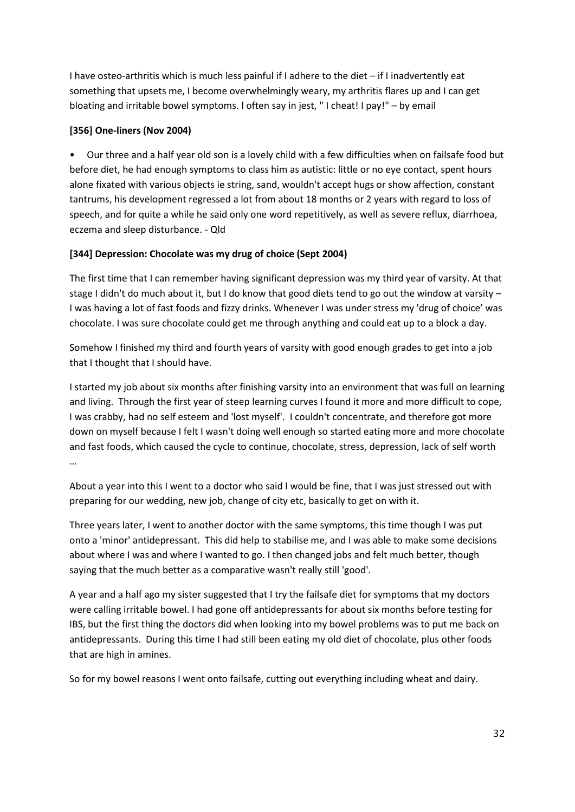I have osteo-arthritis which is much less painful if I adhere to the diet – if I inadvertently eat something that upsets me, I become overwhelmingly weary, my arthritis flares up and I can get bloating and irritable bowel symptoms. l often say in jest, " I cheat! I pay!" – by email

### **[356] One-liners (Nov 2004)**

• Our three and a half year old son is a lovely child with a few difficulties when on failsafe food but before diet, he had enough symptoms to class him as autistic: little or no eye contact, spent hours alone fixated with various objects ie string, sand, wouldn't accept hugs or show affection, constant tantrums, his development regressed a lot from about 18 months or 2 years with regard to loss of speech, and for quite a while he said only one word repetitively, as well as severe reflux, diarrhoea, eczema and sleep disturbance. - Qld

# **[344] Depression: Chocolate was my drug of choice (Sept 2004)**

The first time that I can remember having significant depression was my third year of varsity. At that stage I didn't do much about it, but I do know that good diets tend to go out the window at varsity  $-$ I was having a lot of fast foods and fizzy drinks. Whenever I was under stress my 'drug of choice' was chocolate. I was sure chocolate could get me through anything and could eat up to a block a day.

Somehow I finished my third and fourth years of varsity with good enough grades to get into a job that I thought that I should have.

I started my job about six months after finishing varsity into an environment that was full on learning and living. Through the first year of steep learning curves I found it more and more difficult to cope, I was crabby, had no self esteem and 'lost myself'. I couldn't concentrate, and therefore got more down on myself because I felt I wasn't doing well enough so started eating more and more chocolate and fast foods, which caused the cycle to continue, chocolate, stress, depression, lack of self worth …

About a year into this I went to a doctor who said I would be fine, that I was just stressed out with preparing for our wedding, new job, change of city etc, basically to get on with it.

Three years later, I went to another doctor with the same symptoms, this time though I was put onto a 'minor' antidepressant. This did help to stabilise me, and I was able to make some decisions about where I was and where I wanted to go. I then changed jobs and felt much better, though saying that the much better as a comparative wasn't really still 'good'.

A year and a half ago my sister suggested that I try the failsafe diet for symptoms that my doctors were calling irritable bowel. I had gone off antidepressants for about six months before testing for IBS, but the first thing the doctors did when looking into my bowel problems was to put me back on antidepressants. During this time I had still been eating my old diet of chocolate, plus other foods that are high in amines.

So for my bowel reasons I went onto failsafe, cutting out everything including wheat and dairy.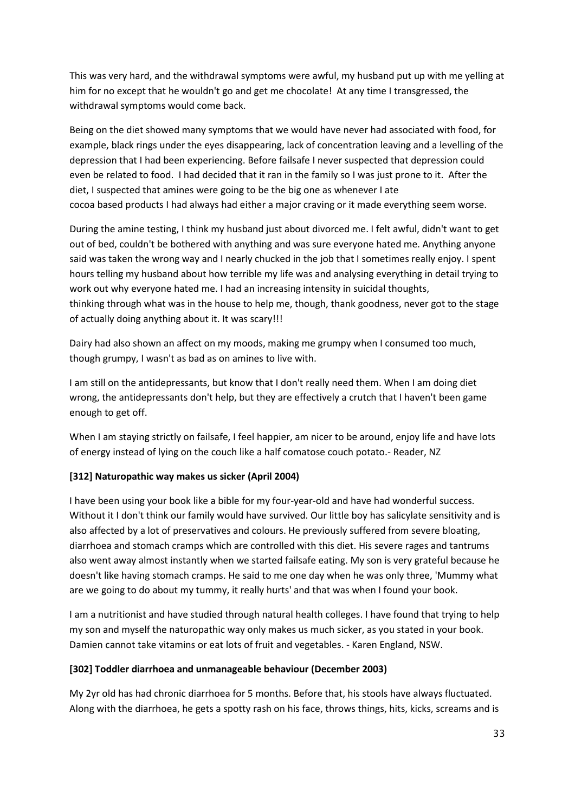This was very hard, and the withdrawal symptoms were awful, my husband put up with me yelling at him for no except that he wouldn't go and get me chocolate! At any time I transgressed, the withdrawal symptoms would come back.

Being on the diet showed many symptoms that we would have never had associated with food, for example, black rings under the eyes disappearing, lack of concentration leaving and a levelling of the depression that I had been experiencing. Before failsafe I never suspected that depression could even be related to food. I had decided that it ran in the family so I was just prone to it. After the diet, I suspected that amines were going to be the big one as whenever I ate cocoa based products I had always had either a major craving or it made everything seem worse.

During the amine testing, I think my husband just about divorced me. I felt awful, didn't want to get out of bed, couldn't be bothered with anything and was sure everyone hated me. Anything anyone said was taken the wrong way and I nearly chucked in the job that I sometimes really enjoy. I spent hours telling my husband about how terrible my life was and analysing everything in detail trying to work out why everyone hated me. I had an increasing intensity in suicidal thoughts, thinking through what was in the house to help me, though, thank goodness, never got to the stage of actually doing anything about it. It was scary!!!

Dairy had also shown an affect on my moods, making me grumpy when I consumed too much, though grumpy, I wasn't as bad as on amines to live with.

I am still on the antidepressants, but know that I don't really need them. When I am doing diet wrong, the antidepressants don't help, but they are effectively a crutch that I haven't been game enough to get off.

When I am staying strictly on failsafe, I feel happier, am nicer to be around, enjoy life and have lots of energy instead of lying on the couch like a half comatose couch potato.- Reader, NZ

#### **[312] Naturopathic way makes us sicker (April 2004)**

I have been using your book like a bible for my four-year-old and have had wonderful success. Without it I don't think our family would have survived. Our little boy has salicylate sensitivity and is also affected by a lot of preservatives and colours. He previously suffered from severe bloating, diarrhoea and stomach cramps which are controlled with this diet. His severe rages and tantrums also went away almost instantly when we started failsafe eating. My son is very grateful because he doesn't like having stomach cramps. He said to me one day when he was only three, 'Mummy what are we going to do about my tummy, it really hurts' and that was when I found your book.

I am a nutritionist and have studied through natural health colleges. I have found that trying to help my son and myself the naturopathic way only makes us much sicker, as you stated in your book. Damien cannot take vitamins or eat lots of fruit and vegetables. - Karen England, NSW.

#### **[302] Toddler diarrhoea and unmanageable behaviour (December 2003)**

My 2yr old has had chronic diarrhoea for 5 months. Before that, his stools have always fluctuated. Along with the diarrhoea, he gets a spotty rash on his face, throws things, hits, kicks, screams and is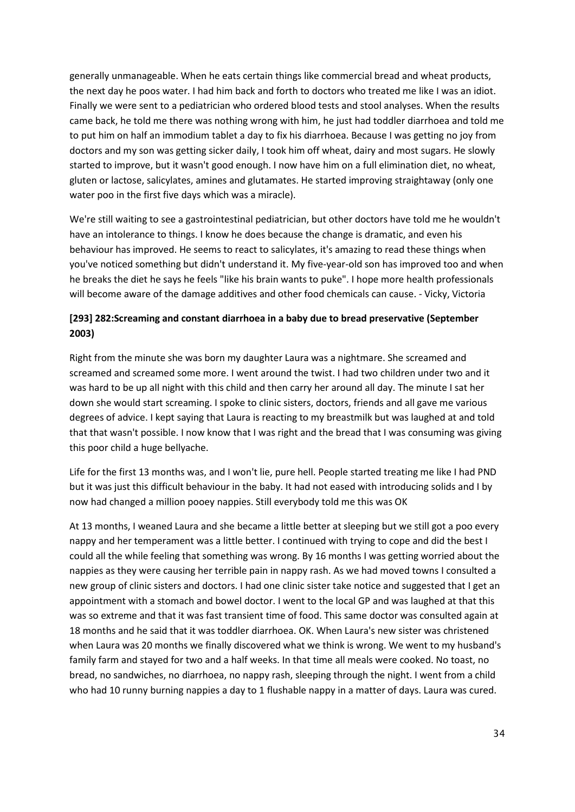generally unmanageable. When he eats certain things like commercial bread and wheat products, the next day he poos water. I had him back and forth to doctors who treated me like I was an idiot. Finally we were sent to a pediatrician who ordered blood tests and stool analyses. When the results came back, he told me there was nothing wrong with him, he just had toddler diarrhoea and told me to put him on half an immodium tablet a day to fix his diarrhoea. Because I was getting no joy from doctors and my son was getting sicker daily, I took him off wheat, dairy and most sugars. He slowly started to improve, but it wasn't good enough. I now have him on a full elimination diet, no wheat, gluten or lactose, salicylates, amines and glutamates. He started improving straightaway (only one water poo in the first five days which was a miracle).

We're still waiting to see a gastrointestinal pediatrician, but other doctors have told me he wouldn't have an intolerance to things. I know he does because the change is dramatic, and even his behaviour has improved. He seems to react to salicylates, it's amazing to read these things when you've noticed something but didn't understand it. My five-year-old son has improved too and when he breaks the diet he says he feels "like his brain wants to puke". I hope more health professionals will become aware of the damage additives and other food chemicals can cause. - Vicky, Victoria

# **[293] 282:Screaming and constant diarrhoea in a baby due to bread preservative (September 2003)**

Right from the minute she was born my daughter Laura was a nightmare. She screamed and screamed and screamed some more. I went around the twist. I had two children under two and it was hard to be up all night with this child and then carry her around all day. The minute I sat her down she would start screaming. I spoke to clinic sisters, doctors, friends and all gave me various degrees of advice. I kept saying that Laura is reacting to my breastmilk but was laughed at and told that that wasn't possible. I now know that I was right and the bread that I was consuming was giving this poor child a huge bellyache.

Life for the first 13 months was, and I won't lie, pure hell. People started treating me like I had PND but it was just this difficult behaviour in the baby. It had not eased with introducing solids and I by now had changed a million pooey nappies. Still everybody told me this was OK

At 13 months, I weaned Laura and she became a little better at sleeping but we still got a poo every nappy and her temperament was a little better. I continued with trying to cope and did the best I could all the while feeling that something was wrong. By 16 months I was getting worried about the nappies as they were causing her terrible pain in nappy rash. As we had moved towns I consulted a new group of clinic sisters and doctors. I had one clinic sister take notice and suggested that I get an appointment with a stomach and bowel doctor. I went to the local GP and was laughed at that this was so extreme and that it was fast transient time of food. This same doctor was consulted again at 18 months and he said that it was toddler diarrhoea. OK. When Laura's new sister was christened when Laura was 20 months we finally discovered what we think is wrong. We went to my husband's family farm and stayed for two and a half weeks. In that time all meals were cooked. No toast, no bread, no sandwiches, no diarrhoea, no nappy rash, sleeping through the night. I went from a child who had 10 runny burning nappies a day to 1 flushable nappy in a matter of days. Laura was cured.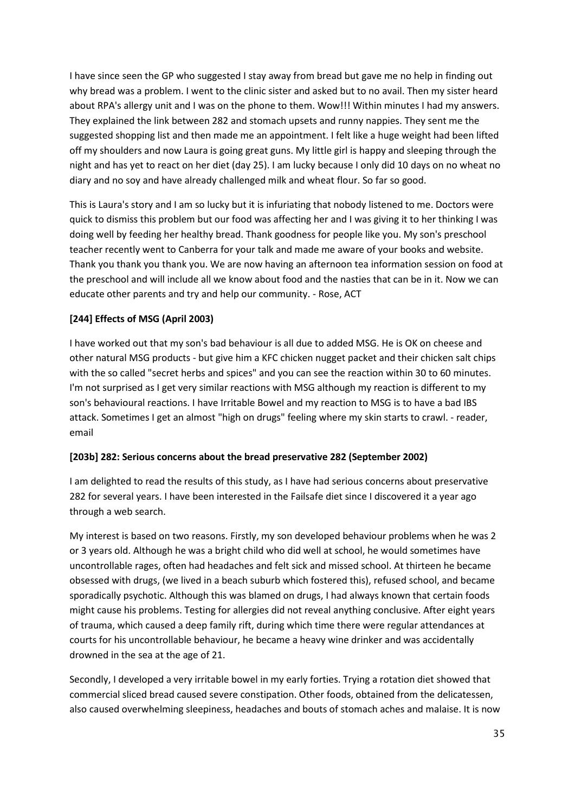I have since seen the GP who suggested I stay away from bread but gave me no help in finding out why bread was a problem. I went to the clinic sister and asked but to no avail. Then my sister heard about RPA's allergy unit and I was on the phone to them. Wow!!! Within minutes I had my answers. They explained the link between 282 and stomach upsets and runny nappies. They sent me the suggested shopping list and then made me an appointment. I felt like a huge weight had been lifted off my shoulders and now Laura is going great guns. My little girl is happy and sleeping through the night and has yet to react on her diet (day 25). I am lucky because I only did 10 days on no wheat no diary and no soy and have already challenged milk and wheat flour. So far so good.

This is Laura's story and I am so lucky but it is infuriating that nobody listened to me. Doctors were quick to dismiss this problem but our food was affecting her and I was giving it to her thinking I was doing well by feeding her healthy bread. Thank goodness for people like you. My son's preschool teacher recently went to Canberra for your talk and made me aware of your books and website. Thank you thank you thank you. We are now having an afternoon tea information session on food at the preschool and will include all we know about food and the nasties that can be in it. Now we can educate other parents and try and help our community. - Rose, ACT

#### **[244] Effects of MSG (April 2003)**

I have worked out that my son's bad behaviour is all due to added MSG. He is OK on cheese and other natural MSG products - but give him a KFC chicken nugget packet and their chicken salt chips with the so called "secret herbs and spices" and you can see the reaction within 30 to 60 minutes. I'm not surprised as I get very similar reactions with MSG although my reaction is different to my son's behavioural reactions. I have Irritable Bowel and my reaction to MSG is to have a bad IBS attack. Sometimes I get an almost "high on drugs" feeling where my skin starts to crawl. - reader, email

#### **[203b] 282: Serious concerns about the bread preservative 282 (September 2002)**

I am delighted to read the results of this study, as I have had serious concerns about preservative 282 for several years. I have been interested in the Failsafe diet since I discovered it a year ago through a web search.

My interest is based on two reasons. Firstly, my son developed behaviour problems when he was 2 or 3 years old. Although he was a bright child who did well at school, he would sometimes have uncontrollable rages, often had headaches and felt sick and missed school. At thirteen he became obsessed with drugs, (we lived in a beach suburb which fostered this), refused school, and became sporadically psychotic. Although this was blamed on drugs, I had always known that certain foods might cause his problems. Testing for allergies did not reveal anything conclusive. After eight years of trauma, which caused a deep family rift, during which time there were regular attendances at courts for his uncontrollable behaviour, he became a heavy wine drinker and was accidentally drowned in the sea at the age of 21.

Secondly, I developed a very irritable bowel in my early forties. Trying a rotation diet showed that commercial sliced bread caused severe constipation. Other foods, obtained from the delicatessen, also caused overwhelming sleepiness, headaches and bouts of stomach aches and malaise. It is now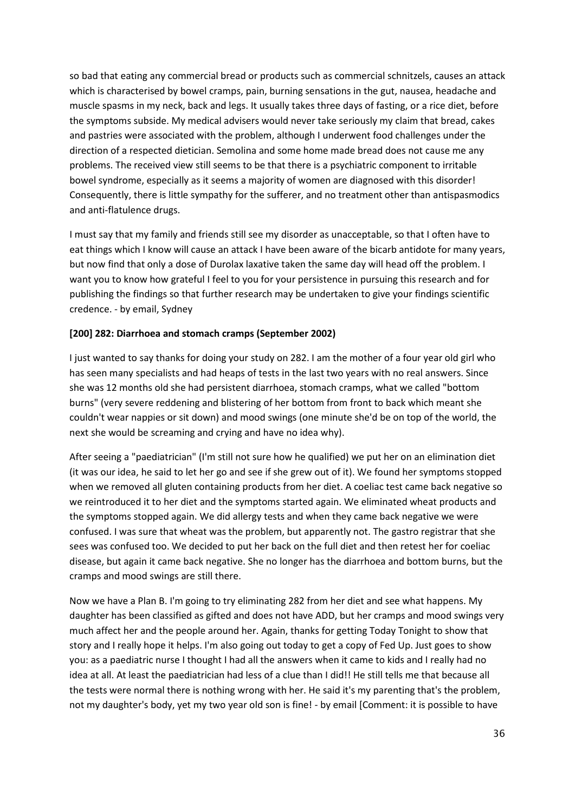so bad that eating any commercial bread or products such as commercial schnitzels, causes an attack which is characterised by bowel cramps, pain, burning sensations in the gut, nausea, headache and muscle spasms in my neck, back and legs. It usually takes three days of fasting, or a rice diet, before the symptoms subside. My medical advisers would never take seriously my claim that bread, cakes and pastries were associated with the problem, although I underwent food challenges under the direction of a respected dietician. Semolina and some home made bread does not cause me any problems. The received view still seems to be that there is a psychiatric component to irritable bowel syndrome, especially as it seems a majority of women are diagnosed with this disorder! Consequently, there is little sympathy for the sufferer, and no treatment other than antispasmodics and anti-flatulence drugs.

I must say that my family and friends still see my disorder as unacceptable, so that I often have to eat things which I know will cause an attack I have been aware of the bicarb antidote for many years, but now find that only a dose of Durolax laxative taken the same day will head off the problem. I want you to know how grateful I feel to you for your persistence in pursuing this research and for publishing the findings so that further research may be undertaken to give your findings scientific credence. - by email, Sydney

#### **[200] 282: Diarrhoea and stomach cramps (September 2002)**

I just wanted to say thanks for doing your study on 282. I am the mother of a four year old girl who has seen many specialists and had heaps of tests in the last two years with no real answers. Since she was 12 months old she had persistent diarrhoea, stomach cramps, what we called "bottom burns" (very severe reddening and blistering of her bottom from front to back which meant she couldn't wear nappies or sit down) and mood swings (one minute she'd be on top of the world, the next she would be screaming and crying and have no idea why).

After seeing a "paediatrician" (I'm still not sure how he qualified) we put her on an elimination diet (it was our idea, he said to let her go and see if she grew out of it). We found her symptoms stopped when we removed all gluten containing products from her diet. A coeliac test came back negative so we reintroduced it to her diet and the symptoms started again. We eliminated wheat products and the symptoms stopped again. We did allergy tests and when they came back negative we were confused. I was sure that wheat was the problem, but apparently not. The gastro registrar that she sees was confused too. We decided to put her back on the full diet and then retest her for coeliac disease, but again it came back negative. She no longer has the diarrhoea and bottom burns, but the cramps and mood swings are still there.

Now we have a Plan B. I'm going to try eliminating 282 from her diet and see what happens. My daughter has been classified as gifted and does not have ADD, but her cramps and mood swings very much affect her and the people around her. Again, thanks for getting Today Tonight to show that story and I really hope it helps. I'm also going out today to get a copy of Fed Up. Just goes to show you: as a paediatric nurse I thought I had all the answers when it came to kids and I really had no idea at all. At least the paediatrician had less of a clue than I did!! He still tells me that because all the tests were normal there is nothing wrong with her. He said it's my parenting that's the problem, not my daughter's body, yet my two year old son is fine! - by email [Comment: it is possible to have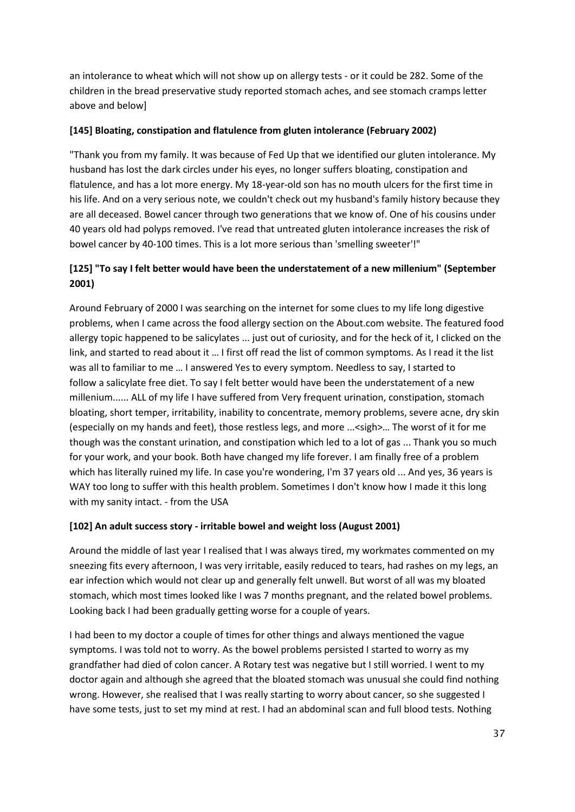an intolerance to wheat which will not show up on allergy tests - or it could be 282. Some of the children in the bread preservative study reported stomach aches, and see stomach cramps letter above and below]

#### **[145] Bloating, constipation and flatulence from gluten intolerance (February 2002)**

"Thank you from my family. It was because of Fed Up that we identified our gluten intolerance. My husband has lost the dark circles under his eyes, no longer suffers bloating, constipation and flatulence, and has a lot more energy. My 18-year-old son has no mouth ulcers for the first time in his life. And on a very serious note, we couldn't check out my husband's family history because they are all deceased. Bowel cancer through two generations that we know of. One of his cousins under 40 years old had polyps removed. I've read that untreated gluten intolerance increases the risk of bowel cancer by 40-100 times. This is a lot more serious than 'smelling sweeter'!"

# **[125] "To say I felt better would have been the understatement of a new millenium" (September 2001)**

Around February of 2000 I was searching on the internet for some clues to my life long digestive problems, when I came across the food allergy section on the About.com website. The featured food allergy topic happened to be salicylates ... just out of curiosity, and for the heck of it, I clicked on the link, and started to read about it … I first off read the list of common symptoms. As I read it the list was all to familiar to me … I answered Yes to every symptom. Needless to say, I started to follow a salicylate free diet. To say I felt better would have been the understatement of a new millenium...... ALL of my life I have suffered from Very frequent urination, constipation, stomach bloating, short temper, irritability, inability to concentrate, memory problems, severe acne, dry skin (especially on my hands and feet), those restless legs, and more ...<sigh>… The worst of it for me though was the constant urination, and constipation which led to a lot of gas ... Thank you so much for your work, and your book. Both have changed my life forever. I am finally free of a problem which has literally ruined my life. In case you're wondering, I'm 37 years old ... And yes, 36 years is WAY too long to suffer with this health problem. Sometimes I don't know how I made it this long with my sanity intact. - from the USA

# **[102] An adult success story - irritable bowel and weight loss (August 2001)**

Around the middle of last year I realised that I was always tired, my workmates commented on my sneezing fits every afternoon, I was very irritable, easily reduced to tears, had rashes on my legs, an ear infection which would not clear up and generally felt unwell. But worst of all was my bloated stomach, which most times looked like I was 7 months pregnant, and the related bowel problems. Looking back I had been gradually getting worse for a couple of years.

I had been to my doctor a couple of times for other things and always mentioned the vague symptoms. I was told not to worry. As the bowel problems persisted I started to worry as my grandfather had died of colon cancer. A Rotary test was negative but I still worried. I went to my doctor again and although she agreed that the bloated stomach was unusual she could find nothing wrong. However, she realised that I was really starting to worry about cancer, so she suggested I have some tests, just to set my mind at rest. I had an abdominal scan and full blood tests. Nothing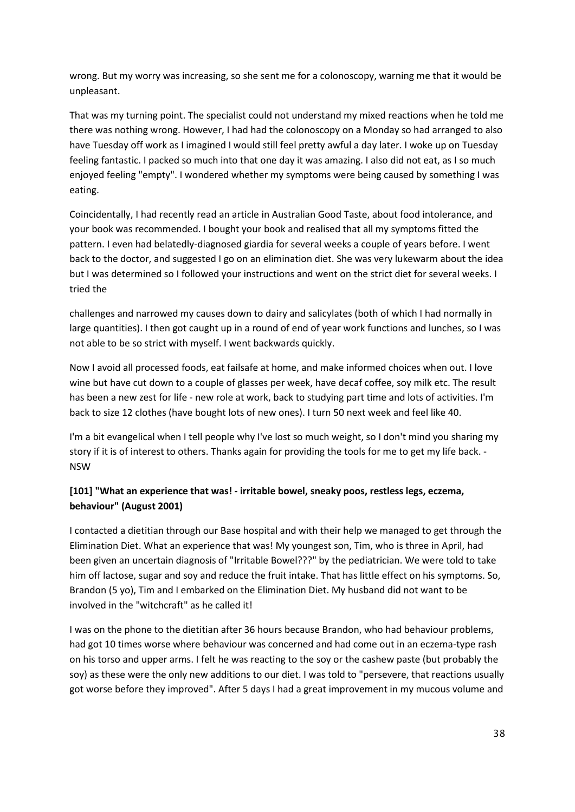wrong. But my worry was increasing, so she sent me for a colonoscopy, warning me that it would be unpleasant.

That was my turning point. The specialist could not understand my mixed reactions when he told me there was nothing wrong. However, I had had the colonoscopy on a Monday so had arranged to also have Tuesday off work as I imagined I would still feel pretty awful a day later. I woke up on Tuesday feeling fantastic. I packed so much into that one day it was amazing. I also did not eat, as I so much enjoyed feeling "empty". I wondered whether my symptoms were being caused by something I was eating.

Coincidentally, I had recently read an article in Australian Good Taste, about food intolerance, and your book was recommended. I bought your book and realised that all my symptoms fitted the pattern. I even had belatedly-diagnosed giardia for several weeks a couple of years before. I went back to the doctor, and suggested I go on an elimination diet. She was very lukewarm about the idea but I was determined so I followed your instructions and went on the strict diet for several weeks. I tried the

challenges and narrowed my causes down to dairy and salicylates (both of which I had normally in large quantities). I then got caught up in a round of end of year work functions and lunches, so I was not able to be so strict with myself. I went backwards quickly.

Now I avoid all processed foods, eat failsafe at home, and make informed choices when out. I love wine but have cut down to a couple of glasses per week, have decaf coffee, soy milk etc. The result has been a new zest for life - new role at work, back to studying part time and lots of activities. I'm back to size 12 clothes (have bought lots of new ones). I turn 50 next week and feel like 40.

I'm a bit evangelical when I tell people why I've lost so much weight, so I don't mind you sharing my story if it is of interest to others. Thanks again for providing the tools for me to get my life back. - NSW

# **[101] "What an experience that was! - irritable bowel, sneaky poos, restless legs, eczema, behaviour" (August 2001)**

I contacted a dietitian through our Base hospital and with their help we managed to get through the Elimination Diet. What an experience that was! My youngest son, Tim, who is three in April, had been given an uncertain diagnosis of "Irritable Bowel???" by the pediatrician. We were told to take him off lactose, sugar and soy and reduce the fruit intake. That has little effect on his symptoms. So, Brandon (5 yo), Tim and I embarked on the Elimination Diet. My husband did not want to be involved in the "witchcraft" as he called it!

I was on the phone to the dietitian after 36 hours because Brandon, who had behaviour problems, had got 10 times worse where behaviour was concerned and had come out in an eczema-type rash on his torso and upper arms. I felt he was reacting to the soy or the cashew paste (but probably the soy) as these were the only new additions to our diet. I was told to "persevere, that reactions usually got worse before they improved". After 5 days I had a great improvement in my mucous volume and